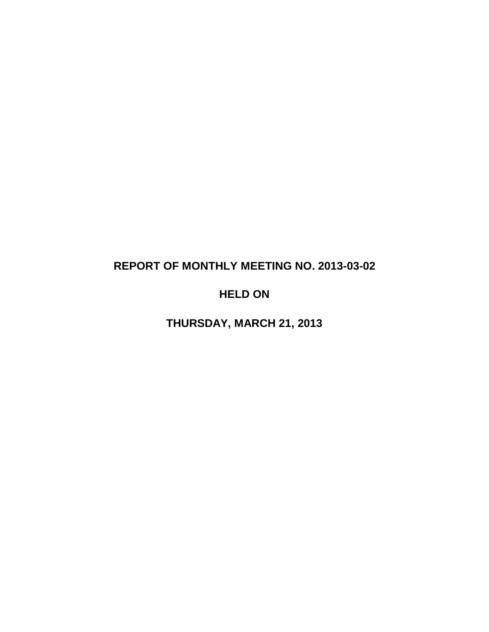# **REPORT OF MONTHLY MEETING NO. 2013-03-02**

# **HELD ON**

**THURSDAY, MARCH 21, 2013**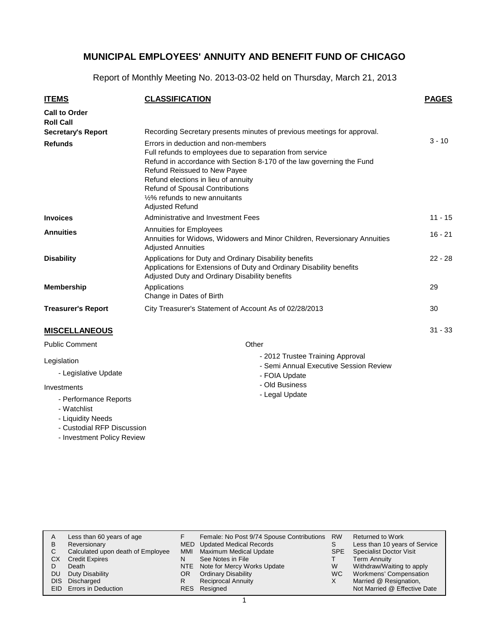Report of Monthly Meeting No. 2013-03-02 held on Thursday, March 21, 2013

| <b>ITEMS</b>                             | <b>CLASSIFICATION</b>                                                                                                                                                                                                                                                                                                                                              | <b>PAGES</b> |
|------------------------------------------|--------------------------------------------------------------------------------------------------------------------------------------------------------------------------------------------------------------------------------------------------------------------------------------------------------------------------------------------------------------------|--------------|
| <b>Call to Order</b><br><b>Roll Call</b> |                                                                                                                                                                                                                                                                                                                                                                    |              |
| <b>Secretary's Report</b>                | Recording Secretary presents minutes of previous meetings for approval.                                                                                                                                                                                                                                                                                            |              |
| <b>Refunds</b>                           | Errors in deduction and non-members<br>Full refunds to employees due to separation from service<br>Refund in accordance with Section 8-170 of the law governing the Fund<br>Refund Reissued to New Payee<br>Refund elections in lieu of annuity<br><b>Refund of Spousal Contributions</b><br>1/ <sub>2</sub> % refunds to new annuitants<br><b>Adjusted Refund</b> | $3 - 10$     |
| <b>Invoices</b>                          | Administrative and Investment Fees                                                                                                                                                                                                                                                                                                                                 | $11 - 15$    |
| <b>Annuities</b>                         | <b>Annuities for Employees</b><br>Annuities for Widows, Widowers and Minor Children, Reversionary Annuities<br><b>Adjusted Annuities</b>                                                                                                                                                                                                                           | $16 - 21$    |
| <b>Disability</b>                        | Applications for Duty and Ordinary Disability benefits<br>Applications for Extensions of Duty and Ordinary Disability benefits<br>Adjusted Duty and Ordinary Disability benefits                                                                                                                                                                                   | $22 - 28$    |
| <b>Membership</b>                        | Applications<br>Change in Dates of Birth                                                                                                                                                                                                                                                                                                                           | 29           |
| <b>Treasurer's Report</b>                | City Treasurer's Statement of Account As of 02/28/2013                                                                                                                                                                                                                                                                                                             | 30           |
| <b>MISCELLANEOUS</b>                     |                                                                                                                                                                                                                                                                                                                                                                    | $31 - 33$    |
| - -                                      |                                                                                                                                                                                                                                                                                                                                                                    |              |

# Public Comment

#### Legislation

- Legislative Update

#### Investments

- Performance Reports
- Watchlist
- Liquidity Needs
- Custodial RFP Discussion
- Investment Policy Review

#### **Other**

- 2012 Trustee Training Approval
- Semi Annual Executive Session Review
- FOIA Update
- Old Business
- Legal Update

|      | Less than 60 years of age         |     | Female: No Post 9/74 Spouse Contributions | <b>RW</b> | Returned to Work               |
|------|-----------------------------------|-----|-------------------------------------------|-----------|--------------------------------|
| B    | Reversionary                      |     | MED Updated Medical Records               |           | Less than 10 years of Service  |
| C.   | Calculated upon death of Employee | MMI | Maximum Medical Update                    | SPE       | <b>Specialist Doctor Visit</b> |
| СX   | <b>Credit Expires</b>             | N   | See Notes in File                         |           | <b>Term Annuity</b>            |
|      | Death                             |     | NTE Note for Mercy Works Update           | W         | Withdraw/Waiting to apply      |
| DU   | Duty Disability                   | OR. | <b>Ordinary Disability</b>                | WC.       | Workmens' Compensation         |
| DIS. | Discharged                        |     | <b>Reciprocal Annuity</b>                 | X         | Married @ Resignation,         |
|      | EID Errors in Deduction           |     | RES Resigned                              |           | Not Married @ Effective Date   |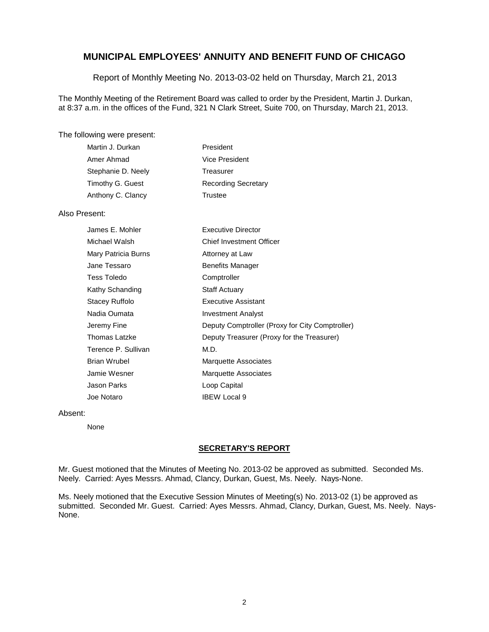Report of Monthly Meeting No. 2013-03-02 held on Thursday, March 21, 2013

The Monthly Meeting of the Retirement Board was called to order by the President, Martin J. Durkan, at 8:37 a.m. in the offices of the Fund, 321 N Clark Street, Suite 700, on Thursday, March 21, 2013.

#### The following were present:

| Martin J. Durkan   | President                  |
|--------------------|----------------------------|
| Amer Ahmad         | Vice President             |
| Stephanie D. Neely | Treasurer                  |
| Timothy G. Guest   | <b>Recording Secretary</b> |
| Anthony C. Clancy  | Trustee                    |

#### Also Present:

| James E. Mohler     | <b>Executive Director</b>                       |
|---------------------|-------------------------------------------------|
| Michael Walsh       | <b>Chief Investment Officer</b>                 |
| Mary Patricia Burns | Attorney at Law                                 |
| Jane Tessaro        | <b>Benefits Manager</b>                         |
| Tess Toledo         | Comptroller                                     |
| Kathy Schanding     | <b>Staff Actuary</b>                            |
| Stacey Ruffolo      | Executive Assistant                             |
| Nadia Oumata        | <b>Investment Analyst</b>                       |
| Jeremy Fine         | Deputy Comptroller (Proxy for City Comptroller) |
| Thomas Latzke       | Deputy Treasurer (Proxy for the Treasurer)      |
| Terence P. Sullivan | M.D.                                            |
| Brian Wrubel        | <b>Marquette Associates</b>                     |
| Jamie Wesner        | <b>Marquette Associates</b>                     |
| Jason Parks         | Loop Capital                                    |
| Joe Notaro          | <b>IBEW Local 9</b>                             |

#### Absent:

None

#### **SECRETARY'S REPORT**

Mr. Guest motioned that the Minutes of Meeting No. 2013-02 be approved as submitted. Seconded Ms. Neely. Carried: Ayes Messrs. Ahmad, Clancy, Durkan, Guest, Ms. Neely. Nays-None.

Ms. Neely motioned that the Executive Session Minutes of Meeting(s) No. 2013-02 (1) be approved as submitted. Seconded Mr. Guest. Carried: Ayes Messrs. Ahmad, Clancy, Durkan, Guest, Ms. Neely. Nays-None.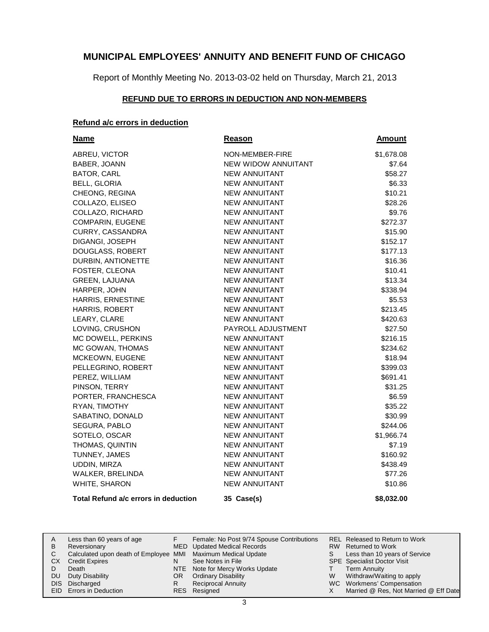Report of Monthly Meeting No. 2013-03-02 held on Thursday, March 21, 2013

# **REFUND DUE TO ERRORS IN DEDUCTION AND NON-MEMBERS**

# **Refund a/c errors in deduction**

| <b>Name</b>                          | Reason               | <u>Amount</u> |
|--------------------------------------|----------------------|---------------|
| ABREU, VICTOR                        | NON-MEMBER-FIRE      | \$1,678.08    |
| BABER, JOANN                         | NEW WIDOW ANNUITANT  | \$7.64        |
| BATOR, CARL                          | <b>NEW ANNUITANT</b> | \$58.27       |
| <b>BELL, GLORIA</b>                  | <b>NEW ANNUITANT</b> | \$6.33        |
| CHEONG, REGINA                       | <b>NEW ANNUITANT</b> | \$10.21       |
| COLLAZO, ELISEO                      | <b>NEW ANNUITANT</b> | \$28.26       |
| COLLAZO, RICHARD                     | <b>NEW ANNUITANT</b> | \$9.76        |
| COMPARIN, EUGENE                     | NEW ANNUITANT        | \$272.37      |
| <b>CURRY, CASSANDRA</b>              | <b>NEW ANNUITANT</b> | \$15.90       |
| DIGANGI, JOSEPH                      | <b>NEW ANNUITANT</b> | \$152.17      |
| DOUGLASS, ROBERT                     | <b>NEW ANNUITANT</b> | \$177.13      |
| DURBIN, ANTIONETTE                   | NEW ANNUITANT        | \$16.36       |
| FOSTER, CLEONA                       | <b>NEW ANNUITANT</b> | \$10.41       |
| <b>GREEN, LAJUANA</b>                | <b>NEW ANNUITANT</b> | \$13.34       |
| HARPER, JOHN                         | <b>NEW ANNUITANT</b> | \$338.94      |
| HARRIS, ERNESTINE                    | <b>NEW ANNUITANT</b> | \$5.53        |
| HARRIS, ROBERT                       | <b>NEW ANNUITANT</b> | \$213.45      |
| LEARY, CLARE                         | <b>NEW ANNUITANT</b> | \$420.63      |
| LOVING, CRUSHON                      | PAYROLL ADJUSTMENT   | \$27.50       |
| MC DOWELL, PERKINS                   | <b>NEW ANNUITANT</b> | \$216.15      |
| MC GOWAN, THOMAS                     | <b>NEW ANNUITANT</b> | \$234.62      |
| MCKEOWN, EUGENE                      | <b>NEW ANNUITANT</b> | \$18.94       |
| PELLEGRINO, ROBERT                   | <b>NEW ANNUITANT</b> | \$399.03      |
| PEREZ, WILLIAM                       | <b>NEW ANNUITANT</b> | \$691.41      |
| PINSON, TERRY                        | <b>NEW ANNUITANT</b> | \$31.25       |
| PORTER, FRANCHESCA                   | <b>NEW ANNUITANT</b> | \$6.59        |
| RYAN, TIMOTHY                        | <b>NEW ANNUITANT</b> | \$35.22       |
| SABATINO, DONALD                     | <b>NEW ANNUITANT</b> | \$30.99       |
| SEGURA, PABLO                        | <b>NEW ANNUITANT</b> | \$244.06      |
| SOTELO, OSCAR                        | <b>NEW ANNUITANT</b> | \$1,966.74    |
| THOMAS, QUINTIN                      | <b>NEW ANNUITANT</b> | \$7.19        |
| TUNNEY, JAMES                        | <b>NEW ANNUITANT</b> | \$160.92      |
| UDDIN, MIRZA                         | <b>NEW ANNUITANT</b> | \$438.49      |
| WALKER, BRELINDA                     | <b>NEW ANNUITANT</b> | \$77.26       |
| WHITE, SHARON                        | <b>NEW ANNUITANT</b> | \$10.86       |
| Total Refund a/c errors in deduction | 35 Case(s)           | \$8,032.00    |

| A    | Less than 60 years of age                                    |    | Female: No Post 9/74 Spouse Contributions |   | REL Released to Return to Work        |
|------|--------------------------------------------------------------|----|-------------------------------------------|---|---------------------------------------|
| B    | Reversionary                                                 |    | MED Updated Medical Records               |   | RW Returned to Work                   |
|      | Calculated upon death of Employee MMI Maximum Medical Update |    |                                           |   | Less than 10 years of Service         |
| СX   | <b>Credit Expires</b>                                        | N  | See Notes in File                         |   | <b>SPE</b> Specialist Doctor Visit    |
|      | Death                                                        |    | NTE Note for Mercy Works Update           |   | Term Annuity                          |
| DU   | Duty Disability                                              | OR | <b>Ordinary Disability</b>                | W | Withdraw/Waiting to apply             |
| DIS. | Discharged                                                   |    | <b>Reciprocal Annuity</b>                 |   | WC Workmens' Compensation             |
|      | EID Errors in Deduction                                      |    | RES Resigned                              |   | Married @ Res, Not Married @ Eff Date |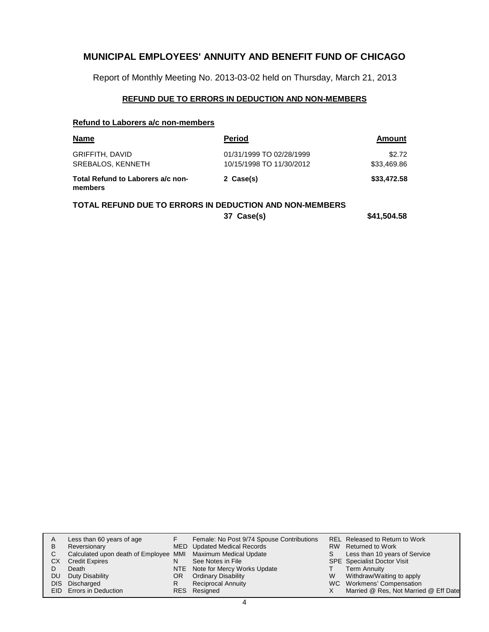Report of Monthly Meeting No. 2013-03-02 held on Thursday, March 21, 2013

#### **REFUND DUE TO ERRORS IN DEDUCTION AND NON-MEMBERS**

# **Refund to Laborers a/c non-members**

| <b>Name</b>                                  | Period                   | Amount      |
|----------------------------------------------|--------------------------|-------------|
| <b>GRIFFITH, DAVID</b>                       | 01/31/1999 TO 02/28/1999 | \$2.72      |
| SREBALOS, KENNETH                            | 10/15/1998 TO 11/30/2012 | \$33,469.86 |
| Total Refund to Laborers a/c non-<br>members | 2 Case(s)                | \$33,472.58 |

# **TOTAL REFUND DUE TO ERRORS IN DEDUCTION AND NON-MEMBERS**

**37 Case(s) \$41,504.58**

|      | Less than 60 years of age                                    |    | Female: No Post 9/74 Spouse Contributions |   | REL Released to Return to Work        |
|------|--------------------------------------------------------------|----|-------------------------------------------|---|---------------------------------------|
| в    | Reversionary                                                 |    | MED Updated Medical Records               |   | RW Returned to Work                   |
| C.   | Calculated upon death of Employee MMI Maximum Medical Update |    |                                           |   | Less than 10 years of Service         |
| СX   | <b>Credit Expires</b>                                        |    | See Notes in File                         |   | <b>SPE</b> Specialist Doctor Visit    |
|      | Death                                                        |    | NTE Note for Mercy Works Update           |   | <b>Term Annuity</b>                   |
| DU   | Duty Disability                                              | OR | <b>Ordinary Disability</b>                | W | Withdraw/Waiting to apply             |
| DIS. | Discharged                                                   | R  | <b>Reciprocal Annuity</b>                 |   | WC Workmens' Compensation             |
|      | EID Errors in Deduction                                      |    | RES Resigned                              |   | Married @ Res, Not Married @ Eff Date |
|      |                                                              |    |                                           |   |                                       |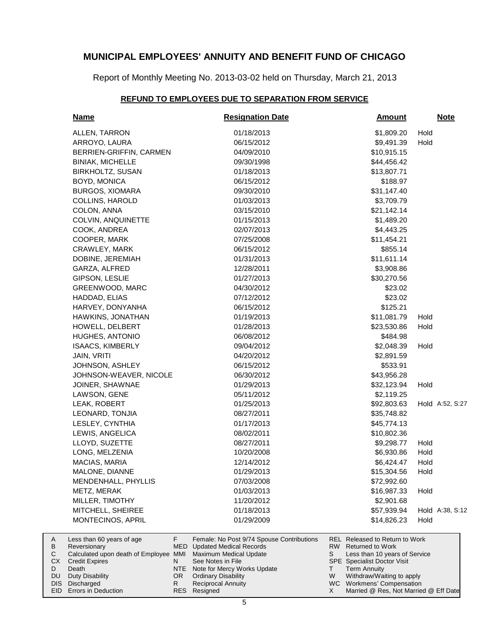Report of Monthly Meeting No. 2013-03-02 held on Thursday, March 21, 2013

#### **REFUND TO EMPLOYEES DUE TO SEPARATION FROM SERVICE**

| <b>Name</b>                                                                                                                                   | <b>Resignation Date</b>                                                                                                                                       | <b>Amount</b>                                                                                                                                                            |      | <b>Note</b>     |
|-----------------------------------------------------------------------------------------------------------------------------------------------|---------------------------------------------------------------------------------------------------------------------------------------------------------------|--------------------------------------------------------------------------------------------------------------------------------------------------------------------------|------|-----------------|
| ALLEN, TARRON                                                                                                                                 | 01/18/2013                                                                                                                                                    | \$1,809.20                                                                                                                                                               | Hold |                 |
| ARROYO, LAURA                                                                                                                                 | 06/15/2012                                                                                                                                                    | \$9,491.39                                                                                                                                                               | Hold |                 |
| BERRIEN-GRIFFIN, CARMEN                                                                                                                       | 04/09/2010                                                                                                                                                    | \$10,915.15                                                                                                                                                              |      |                 |
| <b>BINIAK, MICHELLE</b>                                                                                                                       | 09/30/1998                                                                                                                                                    | \$44,456.42                                                                                                                                                              |      |                 |
| <b>BIRKHOLTZ, SUSAN</b>                                                                                                                       | 01/18/2013                                                                                                                                                    | \$13,807.71                                                                                                                                                              |      |                 |
| BOYD, MONICA                                                                                                                                  | 06/15/2012                                                                                                                                                    | \$188.97                                                                                                                                                                 |      |                 |
| <b>BURGOS, XIOMARA</b>                                                                                                                        | 09/30/2010                                                                                                                                                    | \$31,147.40                                                                                                                                                              |      |                 |
| COLLINS, HAROLD                                                                                                                               | 01/03/2013                                                                                                                                                    | \$3,709.79                                                                                                                                                               |      |                 |
| COLON, ANNA                                                                                                                                   | 03/15/2010                                                                                                                                                    | \$21,142.14                                                                                                                                                              |      |                 |
| COLVIN, ANQUINETTE                                                                                                                            | 01/15/2013                                                                                                                                                    | \$1,489.20                                                                                                                                                               |      |                 |
| COOK, ANDREA                                                                                                                                  | 02/07/2013                                                                                                                                                    | \$4,443.25                                                                                                                                                               |      |                 |
| COOPER, MARK                                                                                                                                  | 07/25/2008                                                                                                                                                    | \$11,454.21                                                                                                                                                              |      |                 |
| CRAWLEY, MARK                                                                                                                                 | 06/15/2012                                                                                                                                                    | \$855.14                                                                                                                                                                 |      |                 |
| DOBINE, JEREMIAH                                                                                                                              | 01/31/2013                                                                                                                                                    | \$11,611.14                                                                                                                                                              |      |                 |
| GARZA, ALFRED                                                                                                                                 | 12/28/2011                                                                                                                                                    | \$3,908.86                                                                                                                                                               |      |                 |
| GIPSON, LESLIE                                                                                                                                | 01/27/2013                                                                                                                                                    | \$30,270.56                                                                                                                                                              |      |                 |
| GREENWOOD, MARC                                                                                                                               | 04/30/2012                                                                                                                                                    | \$23.02                                                                                                                                                                  |      |                 |
| HADDAD, ELIAS                                                                                                                                 | 07/12/2012                                                                                                                                                    | \$23.02                                                                                                                                                                  |      |                 |
| HARVEY, DONYANHA                                                                                                                              | 06/15/2012                                                                                                                                                    | \$125.21                                                                                                                                                                 |      |                 |
| HAWKINS, JONATHAN                                                                                                                             | 01/19/2013                                                                                                                                                    | \$11,081.79                                                                                                                                                              | Hold |                 |
| HOWELL, DELBERT                                                                                                                               | 01/28/2013                                                                                                                                                    | \$23,530.86                                                                                                                                                              | Hold |                 |
| HUGHES, ANTONIO                                                                                                                               | 06/08/2012                                                                                                                                                    | \$484.98                                                                                                                                                                 |      |                 |
| <b>ISAACS, KIMBERLY</b>                                                                                                                       | 09/04/2012                                                                                                                                                    | \$2,048.39                                                                                                                                                               | Hold |                 |
| JAIN, VRITI                                                                                                                                   | 04/20/2012                                                                                                                                                    | \$2,891.59                                                                                                                                                               |      |                 |
| JOHNSON, ASHLEY                                                                                                                               | 06/15/2012                                                                                                                                                    | \$533.91                                                                                                                                                                 |      |                 |
| JOHNSON-WEAVER, NICOLE                                                                                                                        | 06/30/2012                                                                                                                                                    | \$43,956.28                                                                                                                                                              |      |                 |
| JOINER, SHAWNAE                                                                                                                               | 01/29/2013                                                                                                                                                    | \$32,123.94                                                                                                                                                              | Hold |                 |
| LAWSON, GENE                                                                                                                                  | 05/11/2012                                                                                                                                                    | \$2,119.25                                                                                                                                                               |      |                 |
| LEAK, ROBERT                                                                                                                                  | 01/25/2013                                                                                                                                                    | \$92,803.63                                                                                                                                                              |      | Hold A:52, S:27 |
| LEONARD, TONJIA                                                                                                                               | 08/27/2011                                                                                                                                                    | \$35,748.82                                                                                                                                                              |      |                 |
| LESLEY, CYNTHIA                                                                                                                               | 01/17/2013                                                                                                                                                    | \$45,774.13                                                                                                                                                              |      |                 |
| LEWIS, ANGELICA                                                                                                                               | 08/02/2011                                                                                                                                                    | \$10,802.36                                                                                                                                                              |      |                 |
| LLOYD, SUZETTE                                                                                                                                | 08/27/2011                                                                                                                                                    | \$9,298.77                                                                                                                                                               | Hold |                 |
| LONG, MELZENIA                                                                                                                                | 10/20/2008                                                                                                                                                    | \$6,930.86                                                                                                                                                               | Hold |                 |
| MACIAS, MARIA                                                                                                                                 | 12/14/2012                                                                                                                                                    | \$6,424.47                                                                                                                                                               | Hold |                 |
| MALONE, DIANNE                                                                                                                                | 01/29/2013                                                                                                                                                    | \$15,304.56                                                                                                                                                              | Hold |                 |
| MENDENHALL, PHYLLIS                                                                                                                           | 07/03/2008                                                                                                                                                    | \$72,992.60                                                                                                                                                              |      |                 |
| METZ, MERAK                                                                                                                                   | 01/03/2013                                                                                                                                                    | \$16,987.33                                                                                                                                                              | Hold |                 |
| MILLER, TIMOTHY                                                                                                                               | 11/20/2012                                                                                                                                                    | \$2,901.68                                                                                                                                                               |      |                 |
| MITCHELL, SHEIREE                                                                                                                             | 01/18/2013                                                                                                                                                    | \$57,939.94                                                                                                                                                              |      | Hold A:38, S:12 |
| MONTECINOS, APRIL                                                                                                                             | 01/29/2009                                                                                                                                                    | \$14,826.23                                                                                                                                                              | Hold |                 |
| F.<br>Less than 60 years of age<br>Reversionary<br>Calculated upon death of Employee MMI<br><b>Credit Expires</b><br>N<br><b>NTE</b><br>Death | Female: No Post 9/74 Spouse Contributions<br><b>MED</b> Updated Medical Records<br>Maximum Medical Update<br>See Notes in File<br>Note for Mercy Works Update | REL Released to Return to Work<br>RW.<br><b>Returned to Work</b><br>S<br>Less than 10 years of Service<br><b>SPE</b> Specialist Doctor Visit<br><b>Term Annuity</b><br>т |      |                 |

- Ordinary Disability
- Reciprocal Annuity

Resigned RES

OR R

Duty Disability DIS Discharged EID Errors in Deduction

A B  ${\bf C}$ CX D DU

Withdraw/Waiting to apply WC Workmens' Compensation

W X

Married @ Res, Not Married @ Eff Date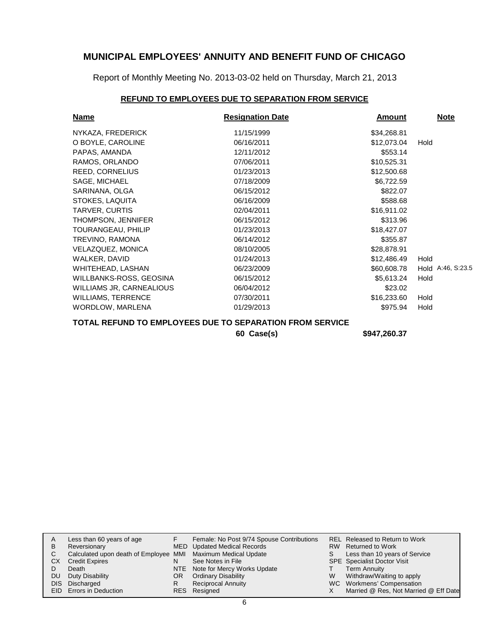Report of Monthly Meeting No. 2013-03-02 held on Thursday, March 21, 2013

# **REFUND TO EMPLOYEES DUE TO SEPARATION FROM SERVICE**

| <b>Name</b>               | <b>Resignation Date</b> | <b>Amount</b> | <b>Note</b>       |
|---------------------------|-------------------------|---------------|-------------------|
| NYKAZA, FREDERICK         | 11/15/1999              | \$34,268.81   |                   |
| O BOYLE, CAROLINE         | 06/16/2011              | \$12,073.04   | Hold              |
| PAPAS, AMANDA             | 12/11/2012              | \$553.14      |                   |
| RAMOS, ORLANDO            | 07/06/2011              | \$10,525.31   |                   |
| <b>REED, CORNELIUS</b>    | 01/23/2013              | \$12,500.68   |                   |
| SAGE, MICHAEL             | 07/18/2009              | \$6,722.59    |                   |
| SARINANA, OLGA            | 06/15/2012              | \$822.07      |                   |
| STOKES, LAQUITA           | 06/16/2009              | \$588.68      |                   |
| TARVER, CURTIS            | 02/04/2011              | \$16,911.02   |                   |
| <b>THOMPSON, JENNIFER</b> | 06/15/2012              | \$313.96      |                   |
| TOURANGEAU, PHILIP        | 01/23/2013              | \$18,427.07   |                   |
| TREVINO, RAMONA           | 06/14/2012              | \$355.87      |                   |
| VELAZQUEZ, MONICA         | 08/10/2005              | \$28,878.91   |                   |
| WALKER, DAVID             | 01/24/2013              | \$12,486,49   | Hold              |
| WHITEHEAD, LASHAN         | 06/23/2009              | \$60,608.78   | Hold A:46, S:23.5 |
| WILLBANKS-ROSS, GEOSINA   | 06/15/2012              | \$5,613.24    | Hold              |
| WILLIAMS JR, CARNEALIOUS  | 06/04/2012              | \$23.02       |                   |
| <b>WILLIAMS, TERRENCE</b> | 07/30/2011              | \$16,233.60   | Hold              |
| <b>WORDLOW, MARLENA</b>   | 01/29/2013              | \$975.94      | Hold              |

# **TOTAL REFUND TO EMPLOYEES DUE TO SEPARATION FROM SERVICE**

**60 Case(s) \$947,260.37**

| A    | Less than 60 years of age                                    |    | Female: No Post 9/74 Spouse Contributions |   | REL Released to Return to Work        |
|------|--------------------------------------------------------------|----|-------------------------------------------|---|---------------------------------------|
| B    | Reversionary                                                 |    | MED Updated Medical Records               |   | RW Returned to Work                   |
| С    | Calculated upon death of Employee MMI Maximum Medical Update |    |                                           | S | Less than 10 years of Service         |
| CХ   | <b>Credit Expires</b>                                        | N  | See Notes in File                         |   | <b>SPE</b> Specialist Doctor Visit    |
|      | Death                                                        |    | NTE Note for Mercy Works Update           |   | Term Annuity                          |
| DU   | Duty Disability                                              | OR | <b>Ordinary Disability</b>                | W | Withdraw/Waiting to apply             |
| DIS. | Discharged                                                   | R  | <b>Reciprocal Annuity</b>                 |   | WC Workmens' Compensation             |
|      | <b>EID</b> Errors in Deduction                               |    | RES Resigned                              |   | Married @ Res, Not Married @ Eff Date |
|      |                                                              |    |                                           |   |                                       |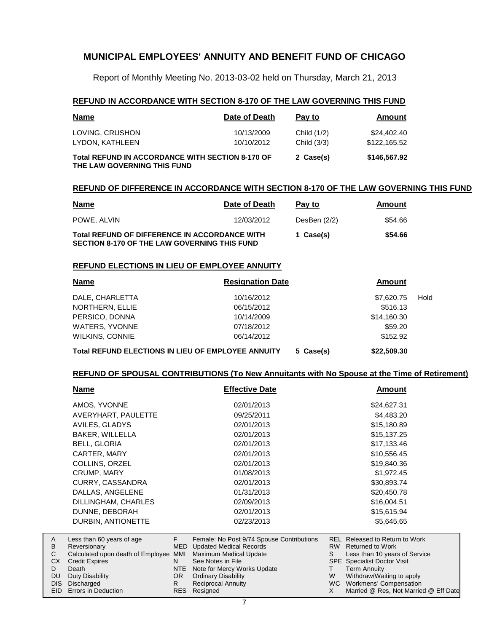Report of Monthly Meeting No. 2013-03-02 held on Thursday, March 21, 2013

### **REFUND IN ACCORDANCE WITH SECTION 8-170 OF THE LAW GOVERNING THIS FUND**

| <b>Name</b>                                                                            | Date of Death            | Pay to                     | Amount                      |  |
|----------------------------------------------------------------------------------------|--------------------------|----------------------------|-----------------------------|--|
| LOVING, CRUSHON<br>LYDON, KATHLEEN                                                     | 10/13/2009<br>10/10/2012 | Child (1/2)<br>Child (3/3) | \$24,402,40<br>\$122,165.52 |  |
| <b>Total REFUND IN ACCORDANCE WITH SECTION 8-170 OF</b><br>THE LAW GOVERNING THIS FUND |                          | 2 Case(s)                  | \$146,567.92                |  |

#### **REFUND OF DIFFERENCE IN ACCORDANCE WITH SECTION 8-170 OF THE LAW GOVERNING THIS FUND**

| <u>Name</u>                                                                                          | Date of Death | Pay to       | Amount  |
|------------------------------------------------------------------------------------------------------|---------------|--------------|---------|
| POWE, ALVIN                                                                                          | 12/03/2012    | DesBen (2/2) | \$54.66 |
| <b>Total REFUND OF DIFFERENCE IN ACCORDANCE WITH</b><br>SECTION 8-170 OF THE LAW GOVERNING THIS FUND | 1 Case(s)     | \$54.66      |         |

#### **REFUND ELECTIONS IN LIEU OF EMPLOYEE ANNUITY**

Duty Disability DIS Discharged EID Errors in Deduction

A B  $\mathbf C$ CX D DU

| <b>Name</b>                                               | <b>Resignation Date</b> |             |      |
|-----------------------------------------------------------|-------------------------|-------------|------|
| DALE, CHARLETTA                                           | 10/16/2012              | \$7,620.75  | Hold |
| NORTHERN, ELLIE                                           | 06/15/2012              | \$516.13    |      |
| PERSICO, DONNA                                            | 10/14/2009              | \$14,160.30 |      |
| WATERS, YVONNE                                            | 07/18/2012              | \$59.20     |      |
| <b>WILKINS, CONNIE</b>                                    | 06/14/2012              | \$152.92    |      |
| <b>Total REFUND ELECTIONS IN LIEU OF EMPLOYEE ANNUITY</b> | \$22,509.30             |             |      |

#### **REFUND OF SPOUSAL CONTRIBUTIONS (To New Annuitants with No Spouse at the Time of Retirement)**

| Name                              |            | <b>Effective Date</b>                     |           | <b>Amount</b>                         |  |
|-----------------------------------|------------|-------------------------------------------|-----------|---------------------------------------|--|
| AMOS, YVONNE                      |            | 02/01/2013                                |           | \$24,627.31                           |  |
| AVERYHART, PAULETTE               |            | 09/25/2011                                |           | \$4,483.20                            |  |
| AVILES, GLADYS                    |            | 02/01/2013                                |           | \$15,180.89                           |  |
| BAKER, WILLELLA                   |            | 02/01/2013                                |           | \$15,137.25                           |  |
| <b>BELL, GLORIA</b>               |            | 02/01/2013                                |           | \$17,133.46                           |  |
| CARTER, MARY                      |            | 02/01/2013                                |           | \$10,556.45                           |  |
| COLLINS, ORZEL                    |            | 02/01/2013                                |           | \$19,840.36                           |  |
| <b>CRUMP, MARY</b>                |            | 01/08/2013                                |           | \$1,972.45                            |  |
| <b>CURRY, CASSANDRA</b>           |            | 02/01/2013                                |           | \$30,893.74                           |  |
| DALLAS, ANGELENE                  |            | 01/31/2013                                |           | \$20,450.78                           |  |
| DILLINGHAM, CHARLES               |            | 02/09/2013                                |           | \$16,004.51                           |  |
| DUNNE, DEBORAH                    |            | 02/01/2013                                |           | \$15,615.94                           |  |
| DURBIN, ANTIONETTE                |            | 02/23/2013                                |           | \$5,645.65                            |  |
| Less than 60 years of age         | F          | Female: No Post 9/74 Spouse Contributions |           | <b>REL Released to Return to Work</b> |  |
| Reversionary                      | <b>MED</b> | <b>Updated Medical Records</b>            | <b>RW</b> | <b>Returned to Work</b>               |  |
| Calculated upon death of Employee | MMI        | Maximum Medical Update                    | S         | Less than 10 years of Service         |  |
| <b>Credit Expires</b>             | N          | See Notes in File                         |           | <b>SPE</b> Specialist Doctor Visit    |  |
| Death                             | <b>NTE</b> | Note for Mercy Works Update               |           | Term Annuity                          |  |

7

OR Ordinary Disability Reciprocal Annuity

Resigned RES

R

Withdraw/Waiting to apply WC Workmens' Compensation

W X

Married @ Res, Not Married @ Eff Date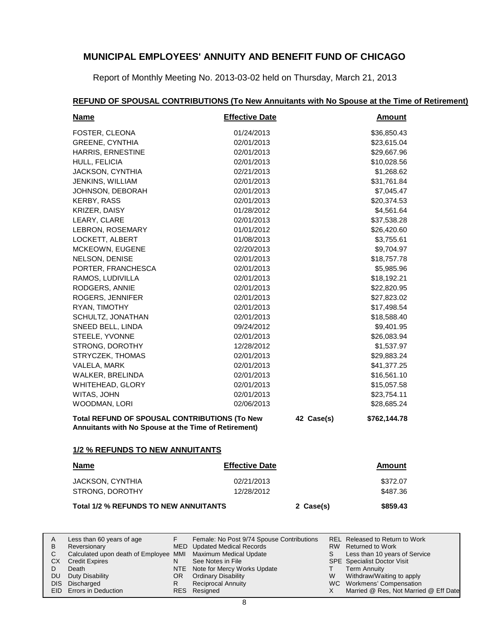Report of Monthly Meeting No. 2013-03-02 held on Thursday, March 21, 2013

# **Name Effective Date REFUND OF SPOUSAL CONTRIBUTIONS (To New Annuitants with No Spouse at the Time of Retirement) Amount** FOSTER, CLEONA 01/24/2013 \$36,850.43 GREENE, CYNTHIA 02/01/2013 \$23,615.04 HARRIS, ERNESTINE 02/01/2013 \$29,667.96 HULL, FELICIA 02/01/2013 \$10,028.56 JACKSON, CYNTHIA 02/21/2013 \$1,268.62 JENKINS, WILLIAM 02/01/2013 \$31,761.84 JOHNSON, DEBORAH 02/01/2013 67,045.47 KERBY, RASS 62/01/2013 62/01/2013 620,374.53 KRIZER, DAISY 61/28/2012 64,561.64 LEARY, CLARE 62/01/2013 637,538.28 LEBRON, ROSEMARY 01/01/2012 01/01/2012 \$26.420.60 LOCKETT, ALBERT 61/08/2013 63,755.61 MCKEOWN, EUGENE 02/20/2013 \$9,704.97 NELSON, DENISE 02/01/2013 02/01/2013 \$18,757.78 PORTER, FRANCHESCA 02/01/2013 \$5,985.96 RAMOS, LUDIVILLA 02/01/2013 \$18,192.21 RODGERS, ANNIE 02/01/2013 \$22,820.95 ROGERS, JENNIFER 02/01/2013 627,823.02 RYAN, TIMOTHY 02/01/2013 \$17,498.54 SCHULTZ, JONATHAN 02/01/2013 \$18,588.40 SNEED BELL, LINDA 09/24/2012 \$9,401.95 STEELE, YVONNE 02/01/2013 02/01/2013 \$26,083.94 STRONG, DOROTHY 12/28/2012 **\$1,537.97** STRYCZEK, THOMAS 02/01/2013 \$29,883.24 VALELA, MARK 02/01/2013 \$41,377.25 WALKER, BRELINDA 02/01/2013 \$16,561.10 WHITEHEAD, GLORY 02/01/2013 615,057.58 WITAS, JOHN 62/01/2013 623,754.11 WOODMAN, LORI 02/06/2013 02/06/2013 \$28,685.24 Total REFUND OF SPOUSAL CONTRIBUTIONS (To New 42 Case(s) \$762,144.78 **Annuitants with No Spouse at the Time of Retirement) 1/2 % REFUNDS TO NEW ANNUITANTS**

# **Name Effective Date**

| JACKSON, CYNTHIA | 02/21/2013 | \$372.07 |
|------------------|------------|----------|
| STRONG, DOROTHY  | 12/28/2012 | \$487.36 |
|                  |            |          |

MED Updated Medical Records See Notes in File NTE Note for Mercy Works Update

OR Ordinary Disability Reciprocal Annuity

Resigned RES

#### **Total 1/2 % REFUNDS TO NEW ANNUITANTS 2 Case(s) \$859.43**

Calculated upon death of Employee MMI Maximum Medical Update

F

N

R

Less than 60 years of age

Reversionary

A B C CX D. DU

Credit Expires Death Duty Disability DIS Discharged EID Errors in Deduction

**Amount**

| Female: No Post 9/74 Spouse Contributions | REL Released to Return to Work |
|-------------------------------------------|--------------------------------|
| <b>Updated Medical Records</b>            | RW Returned to Work            |

| S | Less than 10 years of Service |
|---|-------------------------------|
|   | CDE Coopiellet Doeter Vieit   |

SPE Specialist Doctor Visit

- Term Annuity T
- Withdraw/Waiting to apply W
- WC Workmens' Compensation
- Married @ Res, Not Married @ Eff Date X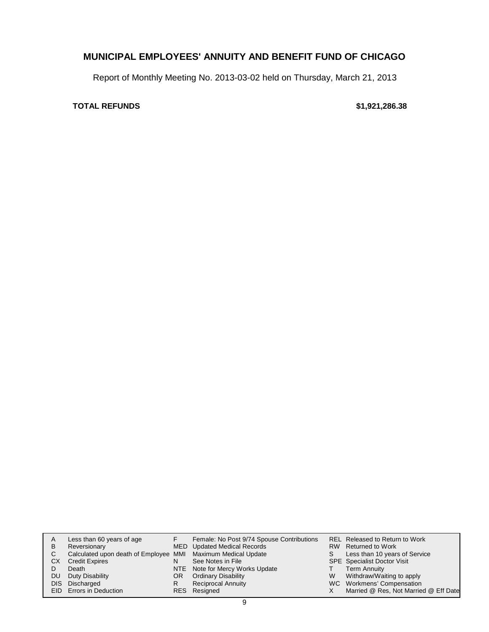Report of Monthly Meeting No. 2013-03-02 held on Thursday, March 21, 2013

# **TOTAL REFUNDS \$1,921,286.38**

| A<br>в<br>C.<br>СX<br>DU | Less than 60 years of age<br>Reversionary<br>Calculated upon death of Employee MMI Maximum Medical Update<br><b>Credit Expires</b><br>Death<br>Duty Disability<br>DIS Discharged<br>EID Errors in Deduction | N<br>OR<br>R | Female: No Post 9/74 Spouse Contributions<br>MED Updated Medical Records<br>See Notes in File<br>NTE Note for Mercy Works Update<br><b>Ordinary Disability</b><br><b>Reciprocal Annuity</b><br>RES Resigned | S.<br>W | REL Released to Return to Work<br>RW Returned to Work<br>Less than 10 years of Service<br><b>SPE</b> Specialist Doctor Visit<br>Term Annuity<br>Withdraw/Waiting to apply<br>WC Workmens' Compensation<br>Married @ Res, Not Married @ Eff Date |
|--------------------------|-------------------------------------------------------------------------------------------------------------------------------------------------------------------------------------------------------------|--------------|-------------------------------------------------------------------------------------------------------------------------------------------------------------------------------------------------------------|---------|-------------------------------------------------------------------------------------------------------------------------------------------------------------------------------------------------------------------------------------------------|
|--------------------------|-------------------------------------------------------------------------------------------------------------------------------------------------------------------------------------------------------------|--------------|-------------------------------------------------------------------------------------------------------------------------------------------------------------------------------------------------------------|---------|-------------------------------------------------------------------------------------------------------------------------------------------------------------------------------------------------------------------------------------------------|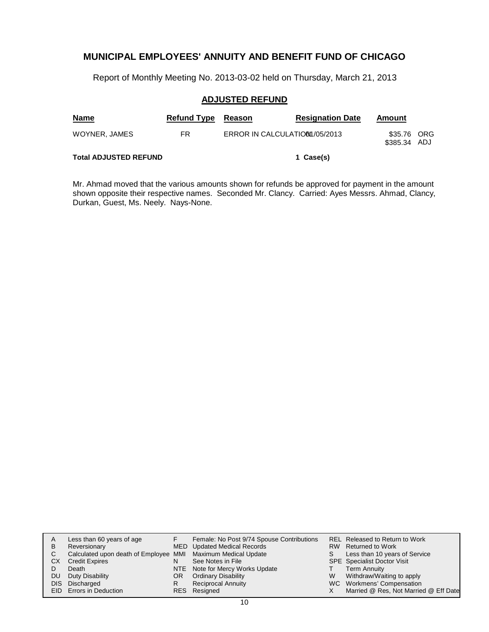Report of Monthly Meeting No. 2013-03-02 held on Thursday, March 21, 2013

# **ADJUSTED REFUND**

| <b>Name</b>                  | <b>Refund Type</b> | Reason                         | <b>Resignation Date</b> | Amount                      |  |
|------------------------------|--------------------|--------------------------------|-------------------------|-----------------------------|--|
| WOYNER, JAMES                | FR                 | ERROR IN CALCULATION 1/05/2013 |                         | \$35.76 ORG<br>\$385.34 ADJ |  |
| <b>Total ADJUSTED REFUND</b> |                    |                                | 1 Case(s)               |                             |  |

Mr. Ahmad moved that the various amounts shown for refunds be approved for payment in the amount shown opposite their respective names. Seconded Mr. Clancy. Carried: Ayes Messrs. Ahmad, Clancy, Durkan, Guest, Ms. Neely. Nays-None.

| A    | Less than 60 years of age                                    |    | Female: No Post 9/74 Spouse Contributions |   | <b>REL Released to Return to Work</b> |
|------|--------------------------------------------------------------|----|-------------------------------------------|---|---------------------------------------|
| в    | Reversionary                                                 |    | MED Updated Medical Records               |   | RW Returned to Work                   |
| С    | Calculated upon death of Employee MMI Maximum Medical Update |    |                                           |   | Less than 10 years of Service         |
| CХ   | <b>Credit Expires</b>                                        | N  | See Notes in File                         |   | <b>SPE</b> Specialist Doctor Visit    |
|      | Death                                                        |    | NTE Note for Mercy Works Update           |   | <b>Term Annuity</b>                   |
| DU   | Duty Disability                                              | OR | <b>Ordinary Disability</b>                | W | Withdraw/Waiting to apply             |
| DIS. | Discharged                                                   | R  | <b>Reciprocal Annuity</b>                 |   | WC Workmens' Compensation             |
|      | <b>EID</b> Errors in Deduction                               |    | RES Resigned                              |   | Married @ Res, Not Married @ Eff Date |
|      |                                                              |    |                                           |   |                                       |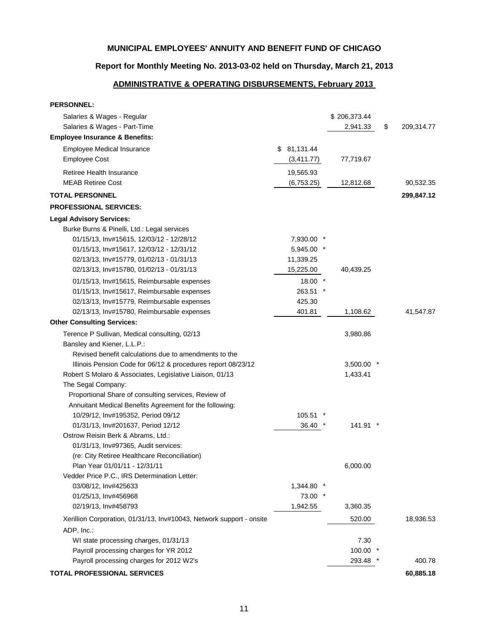# **Report for Monthly Meeting No. 2013-03-02 held on Thursday, March 21, 2013**

# **ADMINISTRATIVE & OPERATING DISBURSEMENTS, February 2013**

| <b>PERSONNEL:</b>                                                    |                 |              |                  |
|----------------------------------------------------------------------|-----------------|--------------|------------------|
| Salaries & Wages - Regular                                           |                 | \$206,373.44 |                  |
| Salaries & Wages - Part-Time                                         |                 | 2,941.33     | \$<br>209,314.77 |
| <b>Employee Insurance &amp; Benefits:</b>                            |                 |              |                  |
| <b>Employee Medical Insurance</b>                                    | \$81,131.44     |              |                  |
| <b>Employee Cost</b>                                                 | (3,411.77)      | 77,719.67    |                  |
| Retiree Health Insurance                                             | 19,565.93       |              |                  |
| <b>MEAB Retiree Cost</b>                                             | (6,753.25)      | 12,812.68    | 90,532.35        |
| <b>TOTAL PERSONNEL</b>                                               |                 |              | 299,847.12       |
| <b>PROFESSIONAL SERVICES:</b>                                        |                 |              |                  |
| <b>Legal Advisory Services:</b>                                      |                 |              |                  |
| Burke Burns & Pinelli, Ltd.: Legal services                          |                 |              |                  |
| 01/15/13, Inv#15615, 12/03/12 - 12/28/12                             | 7,930.00        |              |                  |
| 01/15/13, Inv#15617, 12/03/12 - 12/31/12                             | 5,945.00        |              |                  |
| 02/13/13, Inv#15779, 01/02/13 - 01/31/13                             | 11,339.25       |              |                  |
| 02/13/13, Inv#15780, 01/02/13 - 01/31/13                             | 15,225.00       | 40,439.25    |                  |
| 01/15/13, Inv#15615, Reimbursable expenses                           | $\ast$<br>18.00 |              |                  |
| 01/15/13, Inv#15617, Reimbursable expenses                           | 263.51          |              |                  |
| 02/13/13, Inv#15779, Reimbursable expenses                           | 425.30          |              |                  |
| 02/13/13, Inv#15780, Reimbursable expenses                           | 401.81          | 1,108.62     | 41,547.87        |
| <b>Other Consulting Services:</b>                                    |                 |              |                  |
| Terence P Sullivan, Medical consulting, 02/13                        |                 | 3,980.86     |                  |
| Bansley and Kiener, L.L.P.:                                          |                 |              |                  |
| Revised benefit calculations due to amendments to the                |                 |              |                  |
| Illinois Pension Code for 06/12 & procedures report 08/23/12         |                 | 3,500.00 *   |                  |
| Robert S Molaro & Associates, Legislative Liaison, 01/13             |                 | 1,433.41     |                  |
| The Segal Company:                                                   |                 |              |                  |
| Proportional Share of consulting services, Review of                 |                 |              |                  |
| Annuitant Medical Benefits Agreement for the following:              |                 |              |                  |
| 10/29/12, Inv#195352, Period 09/12                                   | 105.51          |              |                  |
| 01/31/13, Inv#201637, Period 12/12                                   | 36.40           | 141.91 *     |                  |
| Ostrow Reisin Berk & Abrams, Ltd.:                                   |                 |              |                  |
| 01/31/13, Inv#97365, Audit services:                                 |                 |              |                  |
| (re: City Retiree Healthcare Reconciliation)                         |                 |              |                  |
| Plan Year 01/01/11 - 12/31/11                                        |                 | 6,000.00     |                  |
| Vedder Price P.C., IRS Determination Letter:                         |                 |              |                  |
| 03/08/12, Inv#425633                                                 | 1,344.80        |              |                  |
| 01/25/13, Inv#456968                                                 | 73.00           |              |                  |
| 02/19/13, Inv#458793                                                 | 1,942.55        | 3,360.35     |                  |
| Xerillion Corporation, 01/31/13, Inv#10043, Network support - onsite |                 | 520.00       | 18,936.53        |
| ADP, Inc.:                                                           |                 |              |                  |
| WI state processing charges, 01/31/13                                |                 | 7.30         |                  |
| Payroll processing charges for YR 2012                               |                 | 100.00       |                  |
| Payroll processing charges for 2012 W2's                             |                 | 293.48       | 400.78           |
| TOTAL PROFESSIONAL SERVICES                                          |                 |              | 60,885.18        |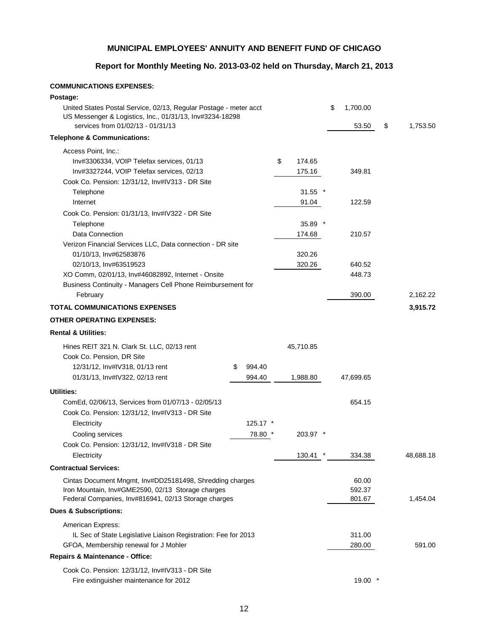# **Report for Monthly Meeting No. 2013-03-02 held on Thursday, March 21, 2013**

## **COMMUNICATIONS EXPENSES:**

| Postage:                                                                                                                      |             |                  |                |                |
|-------------------------------------------------------------------------------------------------------------------------------|-------------|------------------|----------------|----------------|
| United States Postal Service, 02/13, Regular Postage - meter acct<br>US Messenger & Logistics, Inc., 01/31/13, Inv#3234-18298 |             |                  | \$<br>1,700.00 |                |
| services from 01/02/13 - 01/31/13                                                                                             |             |                  | 53.50          | \$<br>1,753.50 |
| <b>Telephone &amp; Communications:</b>                                                                                        |             |                  |                |                |
| Access Point, Inc.:                                                                                                           |             |                  |                |                |
| Inv#3306334, VOIP Telefax services, 01/13                                                                                     |             | \$<br>174.65     |                |                |
| Inv#3327244, VOIP Telefax services, 02/13                                                                                     |             | 175.16           | 349.81         |                |
| Cook Co. Pension: 12/31/12, Inv#IV313 - DR Site                                                                               |             |                  |                |                |
| Telephone                                                                                                                     |             | $\star$<br>31.55 |                |                |
| Internet                                                                                                                      |             | 91.04            | 122.59         |                |
| Cook Co. Pension: 01/31/13, Inv#IV322 - DR Site                                                                               |             |                  |                |                |
| Telephone                                                                                                                     |             | $35.89$ *        |                |                |
| Data Connection                                                                                                               |             | 174.68           | 210.57         |                |
| Verizon Financial Services LLC, Data connection - DR site                                                                     |             |                  |                |                |
| 01/10/13, Inv#62583876                                                                                                        |             | 320.26           |                |                |
| 02/10/13, Inv#63519523                                                                                                        |             | 320.26           | 640.52         |                |
| XO Comm, 02/01/13, Inv#46082892, Internet - Onsite                                                                            |             |                  | 448.73         |                |
| Business Continuity - Managers Cell Phone Reimbursement for                                                                   |             |                  |                |                |
| February                                                                                                                      |             |                  | 390.00         | 2,162.22       |
| <b>TOTAL COMMUNICATIONS EXPENSES</b>                                                                                          |             |                  |                | 3,915.72       |
| <b>OTHER OPERATING EXPENSES:</b>                                                                                              |             |                  |                |                |
| <b>Rental &amp; Utilities:</b>                                                                                                |             |                  |                |                |
| Hines REIT 321 N. Clark St. LLC, 02/13 rent                                                                                   |             | 45,710.85        |                |                |
| Cook Co. Pension, DR Site                                                                                                     |             |                  |                |                |
| 12/31/12, Inv#IV318, 01/13 rent                                                                                               | S<br>994.40 |                  |                |                |
| 01/31/13, Inv#IV322, 02/13 rent                                                                                               | 994.40      | 1,988.80         | 47,699.65      |                |
| <b>Utilities:</b>                                                                                                             |             |                  |                |                |
| ComEd, 02/06/13, Services from 01/07/13 - 02/05/13                                                                            |             |                  | 654.15         |                |
| Cook Co. Pension: 12/31/12, Inv#IV313 - DR Site                                                                               |             |                  |                |                |
| Electricity                                                                                                                   | $125.17$ *  |                  |                |                |
| Cooling services                                                                                                              | 78.80 *     | 203.97 *         |                |                |
| Cook Co. Pension: 12/31/12, Inv#IV318 - DR Site                                                                               |             |                  |                |                |
| Electricity                                                                                                                   |             | 130.41           | 334.38         | 48,688.18      |
| <b>Contractual Services:</b>                                                                                                  |             |                  |                |                |
| Cintas Document Mngmt, Inv#DD25181498, Shredding charges                                                                      |             |                  | 60.00          |                |
| Iron Mountain, Inv#GME2590, 02/13 Storage charges                                                                             |             |                  | 592.37         |                |
| Federal Companies, Inv#816941, 02/13 Storage charges                                                                          |             |                  | 801.67         | 1,454.04       |
| <b>Dues &amp; Subscriptions:</b>                                                                                              |             |                  |                |                |
| American Express:                                                                                                             |             |                  |                |                |
| IL Sec of State Legislative Liaison Registration: Fee for 2013                                                                |             |                  | 311.00         |                |
| GFOA, Membership renewal for J Mohler                                                                                         |             |                  | 280.00         | 591.00         |
| Repairs & Maintenance - Office:                                                                                               |             |                  |                |                |
| Cook Co. Pension: 12/31/12, Inv#IV313 - DR Site                                                                               |             |                  |                |                |
| Fire extinguisher maintenance for 2012                                                                                        |             |                  | $19.00*$       |                |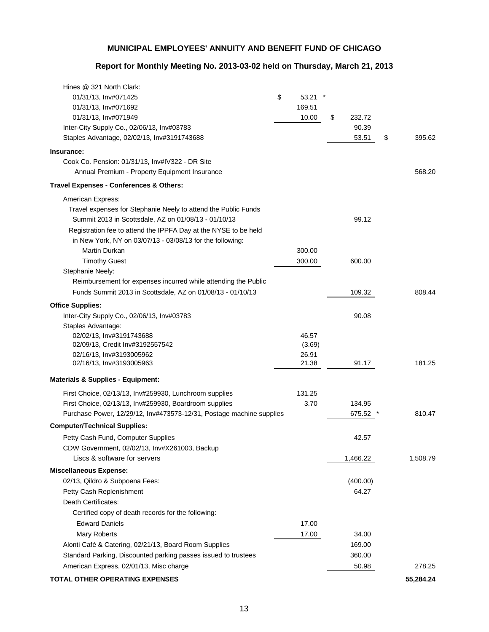# **Report for Monthly Meeting No. 2013-03-02 held on Thursday, March 21, 2013**

| Hines @ 321 North Clark:                                             |                |              |              |
|----------------------------------------------------------------------|----------------|--------------|--------------|
| 01/31/13, Inv#071425                                                 | \$<br>53.21    |              |              |
| 01/31/13, Inv#071692                                                 | 169.51         |              |              |
| 01/31/13, Inv#071949                                                 | 10.00          | \$<br>232.72 |              |
| Inter-City Supply Co., 02/06/13, Inv#03783                           |                | 90.39        |              |
| Staples Advantage, 02/02/13, Inv#3191743688                          |                | 53.51        | \$<br>395.62 |
| Insurance:                                                           |                |              |              |
| Cook Co. Pension: 01/31/13, Inv#IV322 - DR Site                      |                |              |              |
| Annual Premium - Property Equipment Insurance                        |                |              | 568.20       |
| Travel Expenses - Conferences & Others:                              |                |              |              |
| American Express:                                                    |                |              |              |
| Travel expenses for Stephanie Neely to attend the Public Funds       |                |              |              |
| Summit 2013 in Scottsdale, AZ on 01/08/13 - 01/10/13                 |                | 99.12        |              |
| Registration fee to attend the IPPFA Day at the NYSE to be held      |                |              |              |
| in New York, NY on 03/07/13 - 03/08/13 for the following:            |                |              |              |
| <b>Martin Durkan</b>                                                 | 300.00         |              |              |
| <b>Timothy Guest</b>                                                 | 300.00         | 600.00       |              |
| Stephanie Neely:                                                     |                |              |              |
| Reimbursement for expenses incurred while attending the Public       |                |              |              |
| Funds Summit 2013 in Scottsdale, AZ on 01/08/13 - 01/10/13           |                | 109.32       | 808.44       |
| <b>Office Supplies:</b>                                              |                |              |              |
| Inter-City Supply Co., 02/06/13, Inv#03783                           |                | 90.08        |              |
| Staples Advantage:                                                   |                |              |              |
| 02/02/13, Inv#3191743688                                             | 46.57          |              |              |
| 02/09/13, Credit Inv#3192557542                                      | (3.69)         |              |              |
| 02/16/13, Inv#3193005962<br>02/16/13, Inv#3193005963                 | 26.91<br>21.38 | 91.17        | 181.25       |
|                                                                      |                |              |              |
| <b>Materials &amp; Supplies - Equipment:</b>                         |                |              |              |
| First Choice, 02/13/13, Inv#259930, Lunchroom supplies               | 131.25         |              |              |
| First Choice, 02/13/13, Inv#259930, Boardroom supplies               | 3.70           | 134.95       |              |
| Purchase Power, 12/29/12, Inv#473573-12/31, Postage machine supplies |                | 675.52       | 810.47       |
| <b>Computer/Technical Supplies:</b>                                  |                |              |              |
| Petty Cash Fund, Computer Supplies                                   |                | 42.57        |              |
| CDW Government, 02/02/13, Inv#X261003, Backup                        |                |              |              |
| Liscs & software for servers                                         |                | 1,466.22     | 1,508.79     |
| <b>Miscellaneous Expense:</b>                                        |                |              |              |
| 02/13, Qildro & Subpoena Fees:                                       |                | (400.00)     |              |
| Petty Cash Replenishment                                             |                | 64.27        |              |
| Death Certificates:                                                  |                |              |              |
| Certified copy of death records for the following:                   |                |              |              |
| <b>Edward Daniels</b>                                                | 17.00          |              |              |
| Mary Roberts                                                         | 17.00          | 34.00        |              |
| Alonti Café & Catering, 02/21/13, Board Room Supplies                |                | 169.00       |              |
| Standard Parking, Discounted parking passes issued to trustees       |                | 360.00       |              |
| American Express, 02/01/13, Misc charge                              |                | 50.98        | 278.25       |
| TOTAL OTHER OPERATING EXPENSES                                       |                |              | 55,284.24    |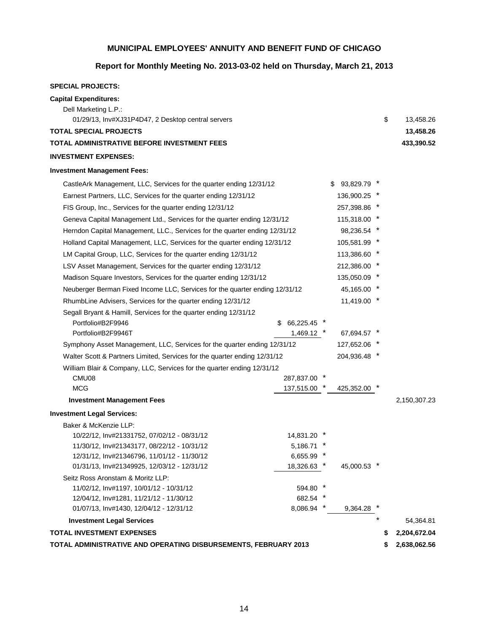# **Report for Monthly Meeting No. 2013-03-02 held on Thursday, March 21, 2013**

#### **SPECIAL PROJECTS:**

| <b>Capital Expenditures:</b><br>Dell Marketing L.P.:<br>01/29/13, Inv#XJ31P4D47, 2 Desktop central servers |                    |        |             |  | \$<br>13,458.26    |
|------------------------------------------------------------------------------------------------------------|--------------------|--------|-------------|--|--------------------|
| <b>TOTAL SPECIAL PROJECTS</b>                                                                              |                    |        |             |  | 13,458.26          |
| TOTAL ADMINISTRATIVE BEFORE INVESTMENT FEES                                                                |                    |        |             |  | 433,390.52         |
| <b>INVESTMENT EXPENSES:</b>                                                                                |                    |        |             |  |                    |
| <b>Investment Management Fees:</b>                                                                         |                    |        |             |  |                    |
| CastleArk Management, LLC, Services for the quarter ending 12/31/12                                        |                    | S.     | 93,829.79   |  |                    |
| Earnest Partners, LLC, Services for the quarter ending 12/31/12                                            |                    |        | 136,900.25  |  |                    |
| FIS Group, Inc., Services for the quarter ending 12/31/12                                                  |                    |        | 257,398.86  |  |                    |
| Geneva Capital Management Ltd., Services for the quarter ending 12/31/12                                   |                    |        | 115,318.00  |  |                    |
| Herndon Capital Management, LLC., Services for the quarter ending 12/31/12                                 |                    |        | 98,236.54   |  |                    |
| Holland Capital Management, LLC, Services for the quarter ending 12/31/12                                  |                    |        | 105,581.99  |  |                    |
| LM Capital Group, LLC, Services for the quarter ending 12/31/12                                            |                    |        | 113,386.60  |  |                    |
| LSV Asset Management, Services for the quarter ending 12/31/12                                             |                    |        | 212,386.00  |  |                    |
| Madison Square Investors, Services for the quarter ending 12/31/12                                         | 135,050.09         |        |             |  |                    |
| Neuberger Berman Fixed Income LLC, Services for the quarter ending 12/31/12                                | 45,165.00          |        |             |  |                    |
| RhumbLine Advisers, Services for the quarter ending 12/31/12                                               | 11,419.00          |        |             |  |                    |
| Segall Bryant & Hamill, Services for the quarter ending 12/31/12                                           |                    |        |             |  |                    |
| Portfolio#B2F9946                                                                                          | \$66,225.45        |        |             |  |                    |
| Portfolio#B2F9946T                                                                                         | 1,469.12           |        | 67,694.57   |  |                    |
| Symphony Asset Management, LLC, Services for the quarter ending 12/31/12                                   |                    |        | 127,652.06  |  |                    |
| Walter Scott & Partners Limited, Services for the quarter ending 12/31/12                                  |                    |        | 204,936.48  |  |                    |
| William Blair & Company, LLC, Services for the quarter ending 12/31/12                                     |                    |        |             |  |                    |
| CMU08                                                                                                      | 287,837.00         |        |             |  |                    |
| <b>MCG</b>                                                                                                 | 137,515.00         |        | 425,352.00  |  |                    |
| <b>Investment Management Fees</b>                                                                          |                    |        |             |  | 2,150,307.23       |
| <b>Investment Legal Services:</b>                                                                          |                    |        |             |  |                    |
| Baker & McKenzie LLP:                                                                                      |                    |        |             |  |                    |
| 10/22/12, Inv#21331752, 07/02/12 - 08/31/12                                                                | 14,831.20          |        |             |  |                    |
| 11/30/12, Inv#21343177, 08/22/12 - 10/31/12                                                                | 5,186.71           |        |             |  |                    |
| 12/31/12, Inv#21346796, 11/01/12 - 11/30/12                                                                | 6,655.99           | $\ast$ |             |  |                    |
| 01/31/13, Inv#21349925, 12/03/12 - 12/31/12                                                                | 18,326.63          |        | 45,000.53 * |  |                    |
| Seitz Ross Aronstam & Moritz LLP:                                                                          |                    |        |             |  |                    |
| 11/02/12, Inv#1197, 10/01/12 - 10/31/12                                                                    | 594.80             |        |             |  |                    |
| 12/04/12, Inv#1281, 11/21/12 - 11/30/12<br>01/07/13, Inv#1430, 12/04/12 - 12/31/12                         | 682.54<br>8,086.94 |        | 9,364.28    |  |                    |
| <b>Investment Legal Services</b>                                                                           |                    |        |             |  | 54,364.81          |
| <b>TOTAL INVESTMENT EXPENSES</b>                                                                           |                    |        |             |  | \$<br>2,204,672.04 |
| TOTAL ADMINISTRATIVE AND OPERATING DISBURSEMENTS, FEBRUARY 2013                                            |                    |        |             |  | \$<br>2,638,062.56 |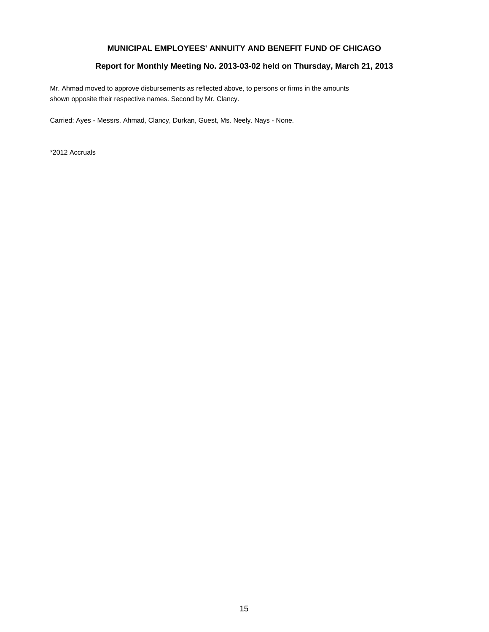### **Report for Monthly Meeting No. 2013-03-02 held on Thursday, March 21, 2013**

Mr. Ahmad moved to approve disbursements as reflected above, to persons or firms in the amounts shown opposite their respective names. Second by Mr. Clancy.

Carried: Ayes - Messrs. Ahmad, Clancy, Durkan, Guest, Ms. Neely. Nays - None.

\*2012 Accruals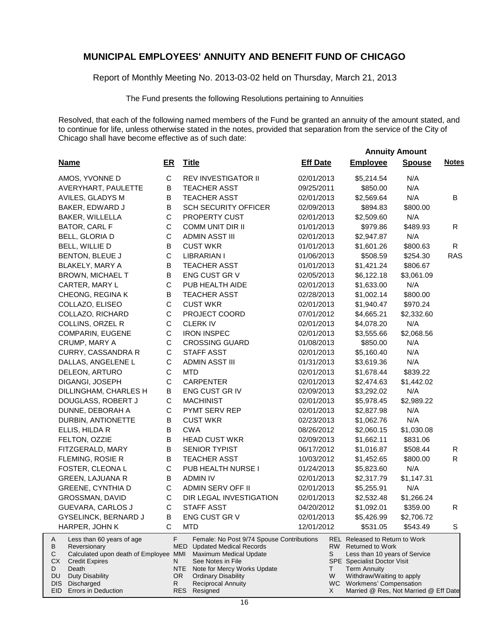Report of Monthly Meeting No. 2013-03-02 held on Thursday, March 21, 2013

The Fund presents the following Resolutions pertaining to Annuities

Resolved, that each of the following named members of the Fund be granted an annuity of the amount stated, and to continue for life, unless otherwise stated in the notes, provided that separation from the service of the City of Chicago shall have become effective as of such date:

 **Annuity Amount**

| <b>Name</b>                                                                                                                                                                            | ER           | <b>Title</b>                                                                                                                                                                                                                              | <b>Eff Date</b>   | <b>Employee</b>                                                                                                                                                                                                          | <b>Spouse</b> | <b>Notes</b> |
|----------------------------------------------------------------------------------------------------------------------------------------------------------------------------------------|--------------|-------------------------------------------------------------------------------------------------------------------------------------------------------------------------------------------------------------------------------------------|-------------------|--------------------------------------------------------------------------------------------------------------------------------------------------------------------------------------------------------------------------|---------------|--------------|
| AMOS, YVONNE D                                                                                                                                                                         | $\mathbf C$  | <b>REV INVESTIGATOR II</b>                                                                                                                                                                                                                | 02/01/2013        | \$5,214.54                                                                                                                                                                                                               | N/A           |              |
| AVERYHART, PAULETTE                                                                                                                                                                    | B            | <b>TEACHER ASST</b>                                                                                                                                                                                                                       | 09/25/2011        | \$850.00                                                                                                                                                                                                                 | N/A           |              |
| AVILES, GLADYS M                                                                                                                                                                       | B            | <b>TEACHER ASST</b>                                                                                                                                                                                                                       | 02/01/2013        | \$2,569.64                                                                                                                                                                                                               | N/A           | В            |
| BAKER, EDWARD J                                                                                                                                                                        | B            | <b>SCH SECURITY OFFICER</b>                                                                                                                                                                                                               | 02/09/2013        | \$894.83                                                                                                                                                                                                                 | \$800.00      |              |
| BAKER, WILLELLA                                                                                                                                                                        | $\mathsf C$  | PROPERTY CUST                                                                                                                                                                                                                             | 02/01/2013        | \$2,509.60                                                                                                                                                                                                               | N/A           |              |
| BATOR, CARL F                                                                                                                                                                          | $\mathsf C$  | COMM UNIT DIR II                                                                                                                                                                                                                          | 01/01/2013        | \$979.86                                                                                                                                                                                                                 | \$489.93      | R            |
| BELL, GLORIA D                                                                                                                                                                         | $\mathsf{C}$ | <b>ADMIN ASST III</b>                                                                                                                                                                                                                     | 02/01/2013        | \$2,947.87                                                                                                                                                                                                               | N/A           |              |
| BELL, WILLIE D                                                                                                                                                                         | B            | <b>CUST WKR</b>                                                                                                                                                                                                                           | 01/01/2013        | \$1,601.26                                                                                                                                                                                                               | \$800.63      | R            |
| BENTON, BLEUE J                                                                                                                                                                        | $\mathsf C$  | <b>LIBRARIAN I</b>                                                                                                                                                                                                                        | 01/06/2013        | \$508.59                                                                                                                                                                                                                 | \$254.30      | <b>RAS</b>   |
| BLAKELY, MARY A                                                                                                                                                                        | $\mathsf B$  | <b>TEACHER ASST</b>                                                                                                                                                                                                                       | 01/01/2013        | \$1,421.24                                                                                                                                                                                                               | \$806.67      |              |
| <b>BROWN, MICHAEL T</b>                                                                                                                                                                | B            | ENG CUST GR V                                                                                                                                                                                                                             | 02/05/2013        | \$6,122.18                                                                                                                                                                                                               | \$3,061.09    |              |
| CARTER, MARY L                                                                                                                                                                         | $\mathsf C$  | PUB HEALTH AIDE                                                                                                                                                                                                                           | 02/01/2013        | \$1,633.00                                                                                                                                                                                                               | N/A           |              |
| CHEONG, REGINA K                                                                                                                                                                       | B            | <b>TEACHER ASST</b>                                                                                                                                                                                                                       | 02/28/2013        | \$1,002.14                                                                                                                                                                                                               | \$800.00      |              |
| COLLAZO, ELISEO                                                                                                                                                                        | $\mathsf C$  | <b>CUST WKR</b>                                                                                                                                                                                                                           | 02/01/2013        | \$1,940.47                                                                                                                                                                                                               | \$970.24      |              |
| COLLAZO, RICHARD                                                                                                                                                                       | C            | PROJECT COORD                                                                                                                                                                                                                             | 07/01/2012        | \$4,665.21                                                                                                                                                                                                               | \$2,332.60    |              |
| COLLINS, ORZEL R                                                                                                                                                                       | $\mathsf C$  | <b>CLERK IV</b>                                                                                                                                                                                                                           | 02/01/2013        | \$4,078.20                                                                                                                                                                                                               | N/A           |              |
| COMPARIN, EUGENE                                                                                                                                                                       | C            | <b>IRON INSPEC</b>                                                                                                                                                                                                                        | 02/01/2013        | \$3,555.66                                                                                                                                                                                                               | \$2,068.56    |              |
| CRUMP, MARY A                                                                                                                                                                          | C            | <b>CROSSING GUARD</b>                                                                                                                                                                                                                     | 01/08/2013        | \$850.00                                                                                                                                                                                                                 | N/A           |              |
| <b>CURRY, CASSANDRA R</b>                                                                                                                                                              | $\mathsf C$  | <b>STAFF ASST</b>                                                                                                                                                                                                                         | 02/01/2013        | \$5,160.40                                                                                                                                                                                                               | N/A           |              |
| DALLAS, ANGELENE L                                                                                                                                                                     | C            | <b>ADMIN ASST III</b>                                                                                                                                                                                                                     | 01/31/2013        | \$3,619.36                                                                                                                                                                                                               | N/A           |              |
| DELEON, ARTURO                                                                                                                                                                         | C            | <b>MTD</b>                                                                                                                                                                                                                                | 02/01/2013        | \$1,678.44                                                                                                                                                                                                               | \$839.22      |              |
| DIGANGI, JOSEPH                                                                                                                                                                        | C            | <b>CARPENTER</b>                                                                                                                                                                                                                          | 02/01/2013        | \$2,474.63                                                                                                                                                                                                               | \$1,442.02    |              |
| DILLINGHAM, CHARLES H                                                                                                                                                                  | B            | ENG CUST GR IV                                                                                                                                                                                                                            | 02/09/2013        | \$3,292.02                                                                                                                                                                                                               | N/A           |              |
| DOUGLASS, ROBERT J                                                                                                                                                                     | $\mathsf C$  | <b>MACHINIST</b>                                                                                                                                                                                                                          | 02/01/2013        | \$5,978.45                                                                                                                                                                                                               | \$2,989.22    |              |
| DUNNE, DEBORAH A                                                                                                                                                                       | $\mathsf C$  | PYMT SERV REP                                                                                                                                                                                                                             | 02/01/2013        | \$2,827.98                                                                                                                                                                                                               | N/A           |              |
| DURBIN, ANTIONETTE                                                                                                                                                                     | В            | <b>CUST WKR</b>                                                                                                                                                                                                                           | 02/23/2013        | \$1,062.76                                                                                                                                                                                                               | N/A           |              |
| ELLIS, HILDA R                                                                                                                                                                         | B            | <b>CWA</b>                                                                                                                                                                                                                                | 08/26/2012        | \$2,060.15                                                                                                                                                                                                               | \$1,030.08    |              |
| FELTON, OZZIE                                                                                                                                                                          | B            | <b>HEAD CUST WKR</b>                                                                                                                                                                                                                      | 02/09/2013        | \$1,662.11                                                                                                                                                                                                               | \$831.06      |              |
| FITZGERALD, MARY                                                                                                                                                                       | B            | SENIOR TYPIST                                                                                                                                                                                                                             | 06/17/2012        | \$1,016.87                                                                                                                                                                                                               | \$508.44      | R            |
| FLEMING, ROSIE R                                                                                                                                                                       | B            | <b>TEACHER ASST</b>                                                                                                                                                                                                                       | 10/03/2012        | \$1,452.65                                                                                                                                                                                                               | \$800.00      | R            |
| FOSTER, CLEONA L                                                                                                                                                                       | $\mathsf{C}$ | PUB HEALTH NURSE I                                                                                                                                                                                                                        | 01/24/2013        | \$5,823.60                                                                                                                                                                                                               | N/A           |              |
| <b>GREEN, LAJUANA R</b>                                                                                                                                                                | В            | <b>ADMIN IV</b>                                                                                                                                                                                                                           | 02/01/2013        | \$2,317.79                                                                                                                                                                                                               | \$1,147.31    |              |
| <b>GREENE, CYNTHIA D</b>                                                                                                                                                               | $\mathsf C$  | ADMIN SERV OFF II                                                                                                                                                                                                                         | 02/01/2013        | \$5,255.91                                                                                                                                                                                                               | N/A           |              |
| GROSSMAN, DAVID                                                                                                                                                                        | $\mathsf C$  | DIR LEGAL INVESTIGATION                                                                                                                                                                                                                   | 02/01/2013        | \$2,532.48                                                                                                                                                                                                               | \$1,266.24    |              |
| GUEVARA, CARLOS J                                                                                                                                                                      | $\mathsf C$  | <b>STAFF ASST</b>                                                                                                                                                                                                                         | 04/20/2012        | \$1,092.01                                                                                                                                                                                                               | \$359.00      | R            |
| <b>GYSELINCK, BERNARD J</b>                                                                                                                                                            | B            | ENG CUST GR V                                                                                                                                                                                                                             | 02/01/2013        | \$5,426.99                                                                                                                                                                                                               | \$2,706.72    |              |
| HARPER, JOHN K                                                                                                                                                                         | C            | <b>MTD</b>                                                                                                                                                                                                                                | 12/01/2012        | \$531.05                                                                                                                                                                                                                 | \$543.49      | S            |
| Less than 60 years of age<br>A<br>В<br>Reversionary<br>С<br>Calculated upon death of Employee MMI<br>СX<br><b>Credit Expires</b><br>D<br>Death<br>DU<br><b>Duty Disability</b><br>DIS. | F<br>N<br>R. | Female: No Post 9/74 Spouse Contributions<br>MED<br><b>Updated Medical Records</b><br>Maximum Medical Update<br>See Notes in File<br>NTE<br>Note for Mercy Works Update<br>OR.<br><b>Ordinary Disability</b><br><b>Reciprocal Annuity</b> | RW<br>S<br>Τ<br>W | <b>REL</b> Released to Return to Work<br><b>Returned to Work</b><br>Less than 10 years of Service<br><b>SPE</b> Specialist Doctor Visit<br><b>Term Annuity</b><br>Withdraw/Waiting to apply<br>WC Workmens' Compensation |               |              |
| Discharged<br>EID<br>Errors in Deduction                                                                                                                                               |              | Resigned<br>RES                                                                                                                                                                                                                           | X                 | Married @ Res, Not Married @ Eff Date                                                                                                                                                                                    |               |              |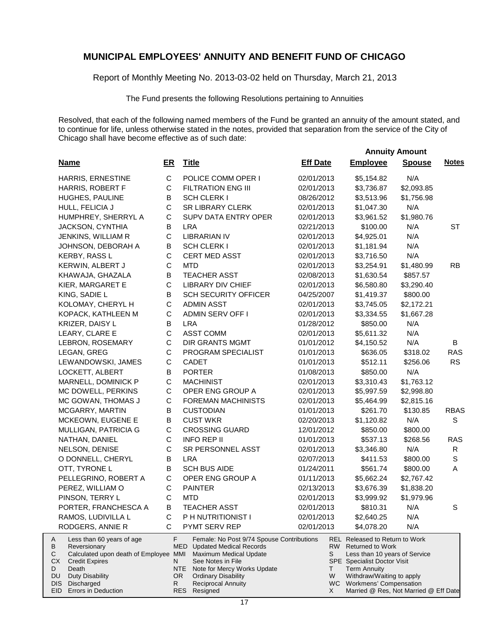Report of Monthly Meeting No. 2013-03-02 held on Thursday, March 21, 2013

The Fund presents the following Resolutions pertaining to Annuities

Resolved, that each of the following named members of the Fund be granted an annuity of the amount stated, and to continue for life, unless otherwise stated in the notes, provided that separation from the service of the City of Chicago shall have become effective as of such date:

 **Annuity Amount**

| <b>Name</b>                                                                                                                                                                    | ER            | <b>Title</b>                                                                                                                                                                                       | <b>Eff Date</b> | <b>Employee</b>                                                                                                                                                                         | <b>Spouse</b> | <b>Notes</b> |
|--------------------------------------------------------------------------------------------------------------------------------------------------------------------------------|---------------|----------------------------------------------------------------------------------------------------------------------------------------------------------------------------------------------------|-----------------|-----------------------------------------------------------------------------------------------------------------------------------------------------------------------------------------|---------------|--------------|
| <b>HARRIS, ERNESTINE</b>                                                                                                                                                       | $\mathbf C$   | POLICE COMM OPER I                                                                                                                                                                                 | 02/01/2013      | \$5,154.82                                                                                                                                                                              | N/A           |              |
| HARRIS, ROBERT F                                                                                                                                                               | C             | <b>FILTRATION ENG III</b>                                                                                                                                                                          | 02/01/2013      | \$3,736.87                                                                                                                                                                              | \$2,093.85    |              |
| HUGHES, PAULINE                                                                                                                                                                | В             | <b>SCH CLERK I</b>                                                                                                                                                                                 | 08/26/2012      | \$3,513.96                                                                                                                                                                              | \$1,756.98    |              |
| HULL, FELICIA J                                                                                                                                                                | C             | <b>SR LIBRARY CLERK</b>                                                                                                                                                                            | 02/01/2013      | \$1,047.30                                                                                                                                                                              | N/A           |              |
| HUMPHREY, SHERRYL A                                                                                                                                                            | $\mathsf{C}$  | <b>SUPV DATA ENTRY OPER</b>                                                                                                                                                                        | 02/01/2013      | \$3,961.52                                                                                                                                                                              | \$1,980.76    |              |
| <b>JACKSON, CYNTHIA</b>                                                                                                                                                        | В             | <b>LRA</b>                                                                                                                                                                                         | 02/21/2013      | \$100.00                                                                                                                                                                                | N/A           | ST           |
| JENKINS, WILLIAM R                                                                                                                                                             | $\mathsf{C}$  | <b>LIBRARIAN IV</b>                                                                                                                                                                                | 02/01/2013      | \$4,925.01                                                                                                                                                                              | N/A           |              |
| JOHNSON, DEBORAH A                                                                                                                                                             | В             | SCH CLERK I                                                                                                                                                                                        | 02/01/2013      | \$1,181.94                                                                                                                                                                              | N/A           |              |
| KERBY, RASS L                                                                                                                                                                  | C             | CERT MED ASST                                                                                                                                                                                      | 02/01/2013      | \$3,716.50                                                                                                                                                                              | N/A           |              |
| KERWIN, ALBERT J                                                                                                                                                               | C             | <b>MTD</b>                                                                                                                                                                                         | 02/01/2013      | \$3,254.91                                                                                                                                                                              | \$1,480.99    | <b>RB</b>    |
| KHAWAJA, GHAZALA                                                                                                                                                               | В             | <b>TEACHER ASST</b>                                                                                                                                                                                | 02/08/2013      | \$1,630.54                                                                                                                                                                              | \$857.57      |              |
| KIER, MARGARET E                                                                                                                                                               | C             | <b>LIBRARY DIV CHIEF</b>                                                                                                                                                                           | 02/01/2013      | \$6,580.80                                                                                                                                                                              | \$3,290.40    |              |
| KING, SADIE L                                                                                                                                                                  | В             | SCH SECURITY OFFICER                                                                                                                                                                               | 04/25/2007      | \$1,419.37                                                                                                                                                                              | \$800.00      |              |
| KOLOMAY, CHERYL H                                                                                                                                                              | C             | <b>ADMIN ASST</b>                                                                                                                                                                                  | 02/01/2013      | \$3,745.05                                                                                                                                                                              | \$2,172.21    |              |
| KOPACK, KATHLEEN M                                                                                                                                                             | C             | <b>ADMIN SERV OFF I</b>                                                                                                                                                                            | 02/01/2013      | \$3,334.55                                                                                                                                                                              | \$1,667.28    |              |
| KRIZER, DAISY L                                                                                                                                                                | В             | <b>LRA</b>                                                                                                                                                                                         | 01/28/2012      | \$850.00                                                                                                                                                                                | N/A           |              |
| LEARY, CLARE E                                                                                                                                                                 | C             | <b>ASST COMM</b>                                                                                                                                                                                   | 02/01/2013      | \$5,611.32                                                                                                                                                                              | N/A           |              |
| LEBRON, ROSEMARY                                                                                                                                                               | C             | <b>DIR GRANTS MGMT</b>                                                                                                                                                                             | 01/01/2012      | \$4,150.52                                                                                                                                                                              | N/A           | B            |
| LEGAN, GREG                                                                                                                                                                    | C             | PROGRAM SPECIALIST                                                                                                                                                                                 | 01/01/2013      | \$636.05                                                                                                                                                                                | \$318.02      | <b>RAS</b>   |
| LEWANDOWSKI, JAMES                                                                                                                                                             | C             | <b>CADET</b>                                                                                                                                                                                       | 01/01/2013      | \$512.11                                                                                                                                                                                | \$256.06      | <b>RS</b>    |
| LOCKETT, ALBERT                                                                                                                                                                | В             | <b>PORTER</b>                                                                                                                                                                                      | 01/08/2013      | \$850.00                                                                                                                                                                                | N/A           |              |
| MARNELL, DOMINICK P                                                                                                                                                            | C             | <b>MACHINIST</b>                                                                                                                                                                                   | 02/01/2013      | \$3,310.43                                                                                                                                                                              | \$1,763.12    |              |
| MC DOWELL, PERKINS                                                                                                                                                             | $\mathsf C$   | OPER ENG GROUP A                                                                                                                                                                                   | 02/01/2013      | \$5,997.59                                                                                                                                                                              | \$2,998.80    |              |
| MC GOWAN, THOMAS J                                                                                                                                                             | C             | <b>FOREMAN MACHINISTS</b>                                                                                                                                                                          | 02/01/2013      | \$5,464.99                                                                                                                                                                              | \$2,815.16    |              |
| MCGARRY, MARTIN                                                                                                                                                                | B             | <b>CUSTODIAN</b>                                                                                                                                                                                   | 01/01/2013      | \$261.70                                                                                                                                                                                | \$130.85      | <b>RBAS</b>  |
| MCKEOWN, EUGENE E                                                                                                                                                              | В             | <b>CUST WKR</b>                                                                                                                                                                                    | 02/20/2013      | \$1,120.82                                                                                                                                                                              | N/A           | $\mathbb S$  |
| MULLIGAN, PATRICIA G                                                                                                                                                           | $\mathsf{C}$  | <b>CROSSING GUARD</b>                                                                                                                                                                              | 12/01/2012      | \$850.00                                                                                                                                                                                | \$800.00      |              |
| NATHAN, DANIEL                                                                                                                                                                 | $\mathsf{C}$  | <b>INFO REP II</b>                                                                                                                                                                                 | 01/01/2013      | \$537.13                                                                                                                                                                                | \$268.56      | <b>RAS</b>   |
| NELSON, DENISE                                                                                                                                                                 | $\mathsf{C}$  | SR PERSONNEL ASST                                                                                                                                                                                  | 02/01/2013      | \$3,346.80                                                                                                                                                                              | N/A           | $\mathsf{R}$ |
| O DONNELL, CHERYL                                                                                                                                                              | B             | <b>LRA</b>                                                                                                                                                                                         | 02/07/2013      | \$411.53                                                                                                                                                                                | \$800.00      | $\mathbf S$  |
| OTT, TYRONE L                                                                                                                                                                  | B             | <b>SCH BUS AIDE</b>                                                                                                                                                                                | 01/24/2011      | \$561.74                                                                                                                                                                                | \$800.00      | A            |
| PELLEGRINO, ROBERT A                                                                                                                                                           | $\mathsf{C}$  | OPER ENG GROUP A                                                                                                                                                                                   | 01/11/2013      | \$5,662.24                                                                                                                                                                              | \$2,767.42    |              |
| PEREZ, WILLIAM O                                                                                                                                                               | C             | <b>PAINTER</b>                                                                                                                                                                                     | 02/13/2013      | \$3,676.39                                                                                                                                                                              | \$1,838.20    |              |
| PINSON, TERRY L                                                                                                                                                                | $\mathsf{C}$  | <b>MTD</b>                                                                                                                                                                                         | 02/01/2013      | \$3,999.92                                                                                                                                                                              | \$1,979.96    |              |
| PORTER, FRANCHESCA A                                                                                                                                                           | B             | <b>TEACHER ASST</b>                                                                                                                                                                                | 02/01/2013      | \$810.31                                                                                                                                                                                | N/A           | S            |
| RAMOS, LUDIVILLA L                                                                                                                                                             | C             | P H NUTRITIONIST I                                                                                                                                                                                 | 02/01/2013      | \$2,640.25                                                                                                                                                                              | N/A           |              |
| RODGERS, ANNIE R                                                                                                                                                               | С             | PYMT SERV REP                                                                                                                                                                                      | 02/01/2013      | \$4,078.20                                                                                                                                                                              | N/A           |              |
| Less than 60 years of age<br>A<br>В<br>Reversionary<br>С<br>Calculated upon death of Employee MMI<br>СX<br><b>Credit Expires</b><br>D<br>Death<br>DU<br><b>Duty Disability</b> | F<br>N<br>OR. | Female: No Post 9/74 Spouse Contributions<br><b>MED</b> Updated Medical Records<br>Maximum Medical Update<br>See Notes in File<br>NTE<br>Note for Mercy Works Update<br><b>Ordinary Disability</b> | S<br>Τ<br>W     | <b>REL</b> Released to Return to Work<br>RW Returned to Work<br>Less than 10 years of Service<br><b>SPE</b> Specialist Doctor Visit<br><b>Term Annuity</b><br>Withdraw/Waiting to apply |               |              |
| DIS.<br>Discharged                                                                                                                                                             | R.            | <b>Reciprocal Annuity</b>                                                                                                                                                                          |                 | WC Workmens' Compensation                                                                                                                                                               |               |              |
| EID<br>Errors in Deduction                                                                                                                                                     |               | Resigned<br><b>RES</b>                                                                                                                                                                             | X               | Married @ Res, Not Married @ Eff Date                                                                                                                                                   |               |              |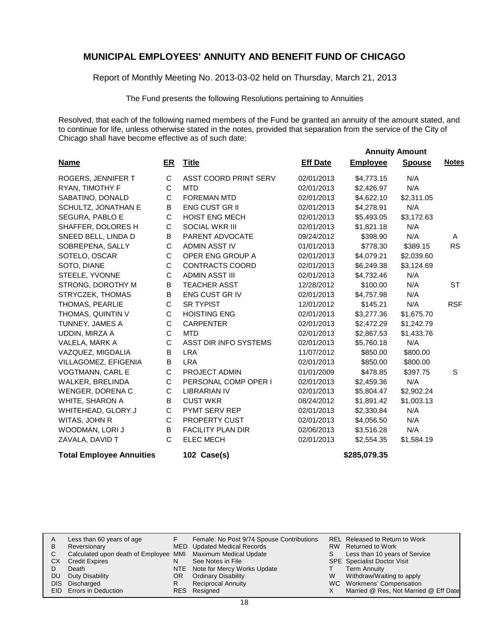Report of Monthly Meeting No. 2013-03-02 held on Thursday, March 21, 2013

The Fund presents the following Resolutions pertaining to Annuities

Resolved, that each of the following named members of the Fund be granted an annuity of the amount stated, and to continue for life, unless otherwise stated in the notes, provided that separation from the service of the City of Chicago shall have become effective as of such date:

|                                 |             |                          |                 |                 | <b>Annuity Amount</b> |              |
|---------------------------------|-------------|--------------------------|-----------------|-----------------|-----------------------|--------------|
| <b>Name</b>                     | ER          | <b>Title</b>             | <b>Eff Date</b> | <b>Employee</b> | <b>Spouse</b>         | <b>Notes</b> |
| ROGERS, JENNIFER T              | C           | ASST COORD PRINT SERV    | 02/01/2013      | \$4,773.15      | N/A                   |              |
| RYAN, TIMOTHY F                 | C           | <b>MTD</b>               | 02/01/2013      | \$2,426.97      | N/A                   |              |
| SABATINO, DONALD                | C           | <b>FOREMAN MTD</b>       | 02/01/2013      | \$4,622.10      | \$2,311.05            |              |
| SCHULTZ, JONATHAN E             | B           | <b>ENG CUST GR II</b>    | 02/01/2013      | \$4,278.91      | N/A                   |              |
| SEGURA, PABLO E                 | C           | <b>HOIST ENG MECH</b>    | 02/01/2013      | \$5,493.05      | \$3,172.63            |              |
| SHAFFER, DOLORES H              | С           | <b>SOCIAL WKR III</b>    | 02/01/2013      | \$1,821.18      | N/A                   |              |
| SNEED BELL, LINDA D             | В           | PARENT ADVOCATE          | 09/24/2012      | \$398.90        | N/A                   | A            |
| SOBREPENA, SALLY                | $\mathsf C$ | <b>ADMIN ASST IV</b>     | 01/01/2013      | \$778.30        | \$389.15              | <b>RS</b>    |
| SOTELO, OSCAR                   | C           | OPER ENG GROUP A         | 02/01/2013      | \$4,079.21      | \$2,039.60            |              |
| SOTO, DIANE                     | C           | <b>CONTRACTS COORD</b>   | 02/01/2013      | \$6,249.38      | \$3,124.69            |              |
| STEELE, YVONNE                  | C           | <b>ADMIN ASST III</b>    | 02/01/2013      | \$4,732.46      | N/A                   |              |
| STRONG, DOROTHY M               | В           | <b>TEACHER ASST</b>      | 12/28/2012      | \$100.00        | N/A                   | <b>ST</b>    |
| STRYCZEK, THOMAS                | B           | ENG CUST GR IV           | 02/01/2013      | \$4,757.98      | N/A                   |              |
| THOMAS, PEARLIE                 | С           | <b>SR TYPIST</b>         | 12/01/2012      | \$145.21        | N/A                   | <b>RSF</b>   |
| THOMAS, QUINTIN V               | С           | <b>HOISTING ENG</b>      | 02/01/2013      | \$3,277.36      | \$1,675.70            |              |
| TUNNEY, JAMES A                 | C           | <b>CARPENTER</b>         | 02/01/2013      | \$2,472.29      | \$1,242.79            |              |
| UDDIN, MIRZA A                  | C           | <b>MTD</b>               | 02/01/2013      | \$2,867.53      | \$1,433.76            |              |
| VALELA, MARK A                  | C           | ASST DIR INFO SYSTEMS    | 02/01/2013      | \$5,760.18      | N/A                   |              |
| VAZQUEZ, MIGDALIA               | В           | <b>LRA</b>               | 11/07/2012      | \$850.00        | \$800.00              |              |
| VILLAGOMEZ, EFIGENIA            | B           | <b>LRA</b>               | 02/01/2013      | \$850.00        | \$800.00              |              |
| VOGTMANN, CARL E                | C           | PROJECT ADMIN            | 01/01/2009      | \$478.85        | \$397.75              | S            |
| WALKER, BRELINDA                | C           | PERSONAL COMP OPER I     | 02/01/2013      | \$2,459.36      | N/A                   |              |
| WENGER, DORENA C                | C           | <b>LIBRARIAN IV</b>      | 02/01/2013      | \$5,804.47      | \$2,902.24            |              |
| WHITE, SHARON A                 | В           | <b>CUST WKR</b>          | 08/24/2012      | \$1,891.42      | \$1,003.13            |              |
| WHITEHEAD, GLORY J              | C           | PYMT SERV REP            | 02/01/2013      | \$2,330.84      | N/A                   |              |
| WITAS, JOHN R                   | C           | PROPERTY CUST            | 02/01/2013      | \$4,056.50      | N/A                   |              |
| WOODMAN, LORI J                 | B           | <b>FACILITY PLAN DIR</b> | 02/06/2013      | \$3,516.28      | N/A                   |              |
| ZAVALA, DAVID T                 | C           | <b>ELEC MECH</b>         | 02/01/2013      | \$2,554.35      | \$1,584.19            |              |
| <b>Total Employee Annuities</b> |             | 102 Case(s)              |                 | \$285,079.35    |                       |              |

| A   | Less than 60 years of age                                    |    | Female: No Post 9/74 Spouse Contributions |   | <b>REL Released to Return to Work</b> |
|-----|--------------------------------------------------------------|----|-------------------------------------------|---|---------------------------------------|
| B   | Reversionary                                                 |    | MED Updated Medical Records               |   | RW Returned to Work                   |
|     | Calculated upon death of Employee MMI Maximum Medical Update |    |                                           | S | Less than 10 years of Service         |
| CХ  | <b>Credit Expires</b>                                        | N  | See Notes in File                         |   | <b>SPE</b> Specialist Doctor Visit    |
|     | Death                                                        |    | NTE Note for Mercy Works Update           |   | Term Annuity                          |
| DU. | Duty Disability                                              | OR | <b>Ordinary Disability</b>                | W | Withdraw/Waiting to apply             |
|     | DIS Discharged                                               | R  | <b>Reciprocal Annuity</b>                 |   | WC Workmens' Compensation             |
|     | <b>EID</b> Errors in Deduction                               |    | RES Resigned                              |   | Married @ Res, Not Married @ Eff Date |
|     |                                                              |    |                                           |   |                                       |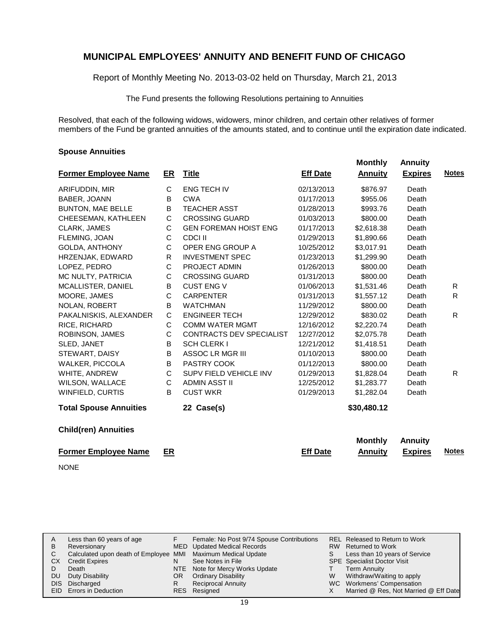Report of Monthly Meeting No. 2013-03-02 held on Thursday, March 21, 2013

The Fund presents the following Resolutions pertaining to Annuities

Resolved, that each of the following widows, widowers, minor children, and certain other relatives of former members of the Fund be granted annuities of the amounts stated, and to continue until the expiration date indicated.

 **Monthly Annuity**

#### **Spouse Annuities**

|                               |              |                                 |                 |                | ALILIUILY      |              |
|-------------------------------|--------------|---------------------------------|-----------------|----------------|----------------|--------------|
| <b>Former Employee Name</b>   | ER           | <b>Title</b>                    | <b>Eff Date</b> | <b>Annuity</b> | <b>Expires</b> | <b>Notes</b> |
| ARIFUDDIN, MIR                | C            | <b>ENG TECH IV</b>              | 02/13/2013      | \$876.97       | Death          |              |
| BABER, JOANN                  | B            | <b>CWA</b>                      | 01/17/2013      | \$955.06       | Death          |              |
| <b>BUNTON, MAE BELLE</b>      | В            | <b>TEACHER ASST</b>             | 01/28/2013      | \$993.76       | Death          |              |
| CHEESEMAN, KATHLEEN           | С            | <b>CROSSING GUARD</b>           | 01/03/2013      | \$800.00       | Death          |              |
| CLARK, JAMES                  | C            | <b>GEN FOREMAN HOIST ENG</b>    | 01/17/2013      | \$2,618.38     | Death          |              |
| FLEMING, JOAN                 | C            | CDCI II                         | 01/29/2013      | \$1,890.66     | Death          |              |
| <b>GOLDA, ANTHONY</b>         | С            | OPER ENG GROUP A                | 10/25/2012      | \$3,017.91     | Death          |              |
| HRZENJAK, EDWARD              | R            | <b>INVESTMENT SPEC</b>          | 01/23/2013      | \$1,299.90     | Death          |              |
| LOPEZ, PEDRO                  | $\mathsf{C}$ | <b>PROJECT ADMIN</b>            | 01/26/2013      | \$800.00       | Death          |              |
| MC NULTY, PATRICIA            | С            | <b>CROSSING GUARD</b>           | 01/31/2013      | \$800.00       | Death          |              |
| MCALLISTER, DANIEL            | B            | <b>CUST ENG V</b>               | 01/06/2013      | \$1,531.46     | Death          | R            |
| MOORE, JAMES                  | C            | <b>CARPENTER</b>                | 01/31/2013      | \$1,557.12     | Death          | R            |
| <b>NOLAN, ROBERT</b>          | В            | <b>WATCHMAN</b>                 | 11/29/2012      | \$800.00       | Death          |              |
| PAKALNISKIS, ALEXANDER        | $\mathbf C$  | <b>ENGINEER TECH</b>            | 12/29/2012      | \$830.02       | Death          | R.           |
| RICE, RICHARD                 | $\mathsf C$  | <b>COMM WATER MGMT</b>          | 12/16/2012      | \$2,220.74     | Death          |              |
| ROBINSON, JAMES               | С            | <b>CONTRACTS DEV SPECIALIST</b> | 12/27/2012      | \$2,075.78     | Death          |              |
| SLED, JANET                   | B            | <b>SCH CLERK I</b>              | 12/21/2012      | \$1,418.51     | Death          |              |
| STEWART, DAISY                | B            | ASSOC LR MGR III                | 01/10/2013      | \$800.00       | Death          |              |
| WALKER, PICCOLA               | B            | PASTRY COOK                     | 01/12/2013      | \$800.00       | Death          |              |
| WHITE, ANDREW                 | C            | SUPV FIELD VEHICLE INV          | 01/29/2013      | \$1,828.04     | Death          | R.           |
| WILSON, WALLACE               | $\mathsf C$  | <b>ADMIN ASST II</b>            | 12/25/2012      | \$1,283.77     | Death          |              |
| WINFIELD, CURTIS              | B            | <b>CUST WKR</b>                 | 01/29/2013      | \$1,282.04     | Death          |              |
| <b>Total Spouse Annuities</b> |              | 22 Case(s)                      |                 | \$30,480.12    |                |              |
| <b>Child(ren) Annuities</b>   |              |                                 |                 |                |                |              |
|                               |              |                                 |                 | <b>Monthly</b> | <b>Annuity</b> |              |
| <b>Former Employee Name</b>   | ER           |                                 | <b>Eff Date</b> | <b>Annuity</b> | <b>Expires</b> | <b>Notes</b> |
| <b>NONE</b>                   |              |                                 |                 |                |                |              |

|    | Less than 60 years of age                                    |     | Female: No Post 9/74 Spouse Contributions |    | REL Released to Return to Work        |
|----|--------------------------------------------------------------|-----|-------------------------------------------|----|---------------------------------------|
| В  | Reversionary                                                 |     | MED Updated Medical Records               |    | RW Returned to Work                   |
|    | Calculated upon death of Employee MMI Maximum Medical Update |     |                                           | S. | Less than 10 years of Service         |
| CХ | <b>Credit Expires</b>                                        | N   | See Notes in File                         |    | <b>SPE</b> Specialist Doctor Visit    |
|    | Death                                                        |     | NTE Note for Mercy Works Update           |    | <b>Term Annuity</b>                   |
| DU | Duty Disability                                              | OR. | <b>Ordinary Disability</b>                | W  | Withdraw/Waiting to apply             |
|    | DIS Discharged                                               |     | <b>Reciprocal Annuity</b>                 |    | WC Workmens' Compensation             |
|    | <b>EID</b> Errors in Deduction                               |     | RES Resigned                              |    | Married @ Res, Not Married @ Eff Date |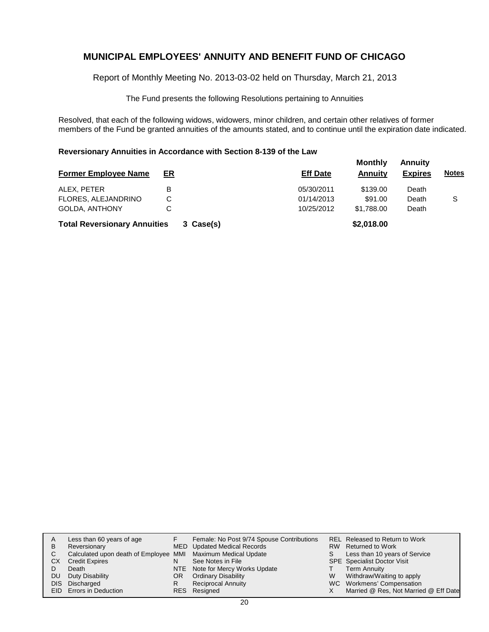Report of Monthly Meeting No. 2013-03-02 held on Thursday, March 21, 2013

The Fund presents the following Resolutions pertaining to Annuities

Resolved, that each of the following widows, widowers, minor children, and certain other relatives of former members of the Fund be granted annuities of the amounts stated, and to continue until the expiration date indicated.

#### **Reversionary Annuities in Accordance with Section 8-139 of the Law**

| <b>Former Employee Name</b>         | <u>ER</u> |           | <b>Eff Date</b> | <b>Monthly</b><br>Annuity | <b>Annuity</b><br><b>Expires</b> | <b>Notes</b> |
|-------------------------------------|-----------|-----------|-----------------|---------------------------|----------------------------------|--------------|
| ALEX. PETER                         | B         |           | 05/30/2011      | \$139.00                  | Death                            |              |
| FLORES, ALEJANDRINO                 | C         |           | 01/14/2013      | \$91.00                   | Death                            | S            |
| <b>GOLDA, ANTHONY</b>               | C         |           | 10/25/2012      | \$1,788.00                | Death                            |              |
| <b>Total Reversionary Annuities</b> |           | 3 Case(s) |                 | \$2,018.00                |                                  |              |

| A<br>В<br>С<br>СX<br>DU<br>DIS. | Less than 60 years of age<br>Reversionary<br>Calculated upon death of Employee MMI Maximum Medical Update<br><b>Credit Expires</b><br>Death<br>Duty Disability<br>Discharged<br>EID Errors in Deduction | OR<br>R | Female: No Post 9/74 Spouse Contributions<br>MED Updated Medical Records<br>See Notes in File<br>NTE Note for Mercy Works Update<br><b>Ordinary Disability</b><br><b>Reciprocal Annuity</b><br>RES Resigned | S.<br>W | REL Released to Return to Work<br>RW Returned to Work<br>Less than 10 years of Service<br><b>SPE</b> Specialist Doctor Visit<br><b>Term Annuity</b><br>Withdraw/Waiting to apply<br>WC Workmens' Compensation<br>Married @ Res, Not Married @ Eff Date |
|---------------------------------|---------------------------------------------------------------------------------------------------------------------------------------------------------------------------------------------------------|---------|-------------------------------------------------------------------------------------------------------------------------------------------------------------------------------------------------------------|---------|--------------------------------------------------------------------------------------------------------------------------------------------------------------------------------------------------------------------------------------------------------|
|---------------------------------|---------------------------------------------------------------------------------------------------------------------------------------------------------------------------------------------------------|---------|-------------------------------------------------------------------------------------------------------------------------------------------------------------------------------------------------------------|---------|--------------------------------------------------------------------------------------------------------------------------------------------------------------------------------------------------------------------------------------------------------|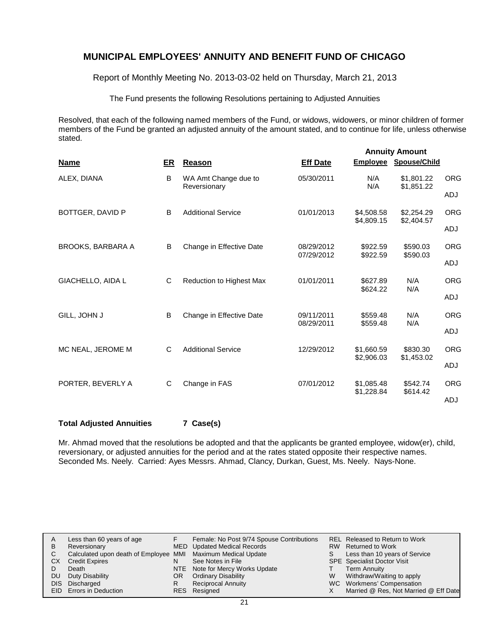Report of Monthly Meeting No. 2013-03-02 held on Thursday, March 21, 2013

The Fund presents the following Resolutions pertaining to Adjusted Annuities

Resolved, that each of the following named members of the Fund, or widows, widowers, or minor children of former members of the Fund be granted an adjusted annuity of the amount stated, and to continue for life, unless otherwise stated.

|                          |    |                                      |                          | <b>Annuity Amount</b>    |                          |            |  |  |
|--------------------------|----|--------------------------------------|--------------------------|--------------------------|--------------------------|------------|--|--|
| <b>Name</b>              | ER | <b>Reason</b>                        | <b>Eff Date</b>          | <b>Employee</b>          | Spouse/Child             |            |  |  |
| ALEX, DIANA              | B  | WA Amt Change due to<br>Reversionary | 05/30/2011               | N/A<br>N/A               | \$1,801.22<br>\$1,851.22 | <b>ORG</b> |  |  |
|                          |    |                                      |                          |                          |                          | ADJ        |  |  |
| BOTTGER, DAVID P         | B  | <b>Additional Service</b>            | 01/01/2013               | \$4,508.58<br>\$4,809.15 | \$2,254.29<br>\$2,404.57 | <b>ORG</b> |  |  |
|                          |    |                                      |                          |                          |                          | <b>ADJ</b> |  |  |
| <b>BROOKS, BARBARA A</b> | B  | Change in Effective Date             | 08/29/2012<br>07/29/2012 | \$922.59<br>\$922.59     | \$590.03<br>\$590.03     | <b>ORG</b> |  |  |
|                          |    |                                      |                          |                          |                          | ADJ        |  |  |
| GIACHELLO, AIDA L        | C  | Reduction to Highest Max             | 01/01/2011               | \$627.89<br>\$624.22     | N/A<br>N/A               | <b>ORG</b> |  |  |
|                          |    |                                      |                          |                          |                          | <b>ADJ</b> |  |  |
| GILL, JOHN J             | B  | Change in Effective Date             | 09/11/2011<br>08/29/2011 | \$559.48<br>\$559.48     | N/A<br>N/A               | <b>ORG</b> |  |  |
|                          |    |                                      |                          |                          |                          | ADJ        |  |  |
| MC NEAL, JEROME M        | C  | <b>Additional Service</b>            | 12/29/2012               | \$1,660.59<br>\$2,906.03 | \$830.30<br>\$1,453.02   | <b>ORG</b> |  |  |
|                          |    |                                      |                          |                          |                          | ADJ        |  |  |
| PORTER, BEVERLY A        | С  | Change in FAS                        | 07/01/2012               | \$1,085.48<br>\$1,228.84 | \$542.74                 | <b>ORG</b> |  |  |
|                          |    |                                      |                          |                          | \$614.42                 | <b>ADJ</b> |  |  |

**Total Adjusted Annuities 7 Case(s)**

Mr. Ahmad moved that the resolutions be adopted and that the applicants be granted employee, widow(er), child, reversionary, or adjusted annuities for the period and at the rates stated opposite their respective names. Seconded Ms. Neely. Carried: Ayes Messrs. Ahmad, Clancy, Durkan, Guest, Ms. Neely. Nays-None.

| A   | Less than 60 years of age                                    |    | Female: No Post 9/74 Spouse Contributions |   | REL Released to Return to Work        |
|-----|--------------------------------------------------------------|----|-------------------------------------------|---|---------------------------------------|
| B   | Reversionary                                                 |    | MED Updated Medical Records               |   | RW Returned to Work                   |
|     | Calculated upon death of Employee MMI Maximum Medical Update |    |                                           |   | Less than 10 years of Service         |
| CХ  | <b>Credit Expires</b>                                        | N  | See Notes in File                         |   | <b>SPE</b> Specialist Doctor Visit    |
|     | Death                                                        |    | NTE Note for Mercy Works Update           |   | <b>Term Annuity</b>                   |
| DU. | Duty Disability                                              | OR | <b>Ordinary Disability</b>                | W | Withdraw/Waiting to apply             |
|     | DIS Discharged                                               |    | <b>Reciprocal Annuity</b>                 |   | WC Workmens' Compensation             |
|     | <b>EID</b> Errors in Deduction                               |    | RES Resigned                              |   | Married @ Res, Not Married @ Eff Date |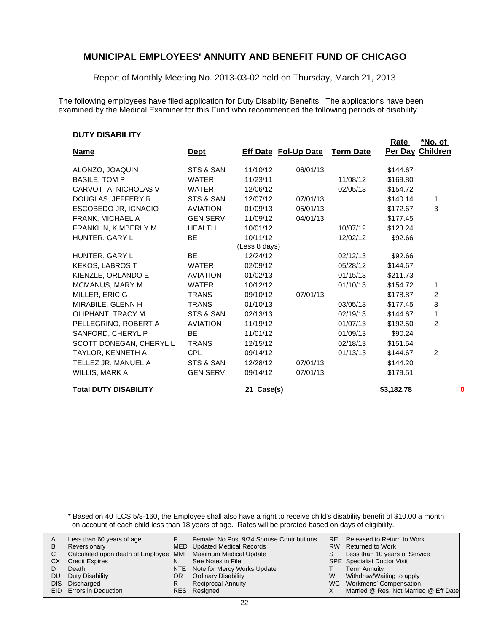Report of Monthly Meeting No. 2013-03-02 held on Thursday, March 21, 2013

The following employees have filed application for Duty Disability Benefits. The applications have been examined by the Medical Examiner for this Fund who recommended the following periods of disability.

#### **DUTY DISABILITY**

|                              |                 |               |                             |                  | Rate             | <u>*No. of</u> |   |
|------------------------------|-----------------|---------------|-----------------------------|------------------|------------------|----------------|---|
| <b>Name</b>                  | <u>Dept</u>     |               | <b>Eff Date Fol-Up Date</b> | <b>Term Date</b> | Per Day Children |                |   |
| ALONZO, JOAQUIN              | STS & SAN       | 11/10/12      | 06/01/13                    |                  | \$144.67         |                |   |
| <b>BASILE, TOM P</b>         | <b>WATER</b>    | 11/23/11      |                             | 11/08/12         | \$169.80         |                |   |
| CARVOTTA, NICHOLAS V         | <b>WATER</b>    | 12/06/12      |                             | 02/05/13         | \$154.72         |                |   |
| DOUGLAS, JEFFERY R           | STS & SAN       | 12/07/12      | 07/01/13                    |                  | \$140.14         | 1              |   |
| ESCOBEDO JR, IGNACIO         | <b>AVIATION</b> | 01/09/13      | 05/01/13                    |                  | \$172.67         | 3              |   |
| FRANK, MICHAEL A             | <b>GEN SERV</b> | 11/09/12      | 04/01/13                    |                  | \$177.45         |                |   |
| FRANKLIN, KIMBERLY M         | <b>HEALTH</b>   | 10/01/12      |                             | 10/07/12         | \$123.24         |                |   |
| HUNTER, GARY L               | <b>BE</b>       | 10/11/12      |                             | 12/02/12         | \$92.66          |                |   |
|                              |                 | (Less 8 days) |                             |                  |                  |                |   |
| HUNTER, GARY L               | <b>BE</b>       | 12/24/12      |                             | 02/12/13         | \$92.66          |                |   |
| <b>KEKOS, LABROS T</b>       | <b>WATER</b>    | 02/09/12      |                             | 05/28/12         | \$144.67         |                |   |
| KIENZLE, ORLANDO E           | <b>AVIATION</b> | 01/02/13      |                             | 01/15/13         | \$211.73         |                |   |
| <b>MCMANUS, MARY M</b>       | <b>WATER</b>    | 10/12/12      |                             | 01/10/13         | \$154.72         | 1              |   |
| MILLER, ERIC G               | <b>TRANS</b>    | 09/10/12      | 07/01/13                    |                  | \$178.87         | 2              |   |
| MIRABILE, GLENN H            | <b>TRANS</b>    | 01/10/13      |                             | 03/05/13         | \$177.45         | 3              |   |
| OLIPHANT, TRACY M            | STS & SAN       | 02/13/13      |                             | 02/19/13         | \$144.67         | 1              |   |
| PELLEGRINO, ROBERT A         | <b>AVIATION</b> | 11/19/12      |                             | 01/07/13         | \$192.50         | $\overline{2}$ |   |
| SANFORD, CHERYL P            | <b>BE</b>       | 11/01/12      |                             | 01/09/13         | \$90.24          |                |   |
| SCOTT DONEGAN, CHERYL L      | <b>TRANS</b>    | 12/15/12      |                             | 02/18/13         | \$151.54         |                |   |
| TAYLOR, KENNETH A            | <b>CPL</b>      | 09/14/12      |                             | 01/13/13         | \$144.67         | 2              |   |
| TELLEZ JR, MANUEL A          | STS & SAN       | 12/28/12      | 07/01/13                    |                  | \$144.20         |                |   |
| WILLIS, MARK A               | <b>GEN SERV</b> | 09/14/12      | 07/01/13                    |                  | \$179.51         |                |   |
| <b>Total DUTY DISABILITY</b> |                 | 21 Case(s)    |                             |                  | \$3,182.78       |                | 0 |

\* Based on 40 ILCS 5/8-160, the Employee shall also have a right to receive child's disability benefit of \$10.00 a month on account of each child less than 18 years of age. Rates will be prorated based on days of eligibility.

| A | Less than 60 years of age                                    |    | Female: No Post 9/74 Spouse Contributions |    | REL Released to Return to Work        |
|---|--------------------------------------------------------------|----|-------------------------------------------|----|---------------------------------------|
| В | Reversionary                                                 |    | <b>MED</b> Updated Medical Records        |    | RW Returned to Work                   |
|   | Calculated upon death of Employee MMI Maximum Medical Update |    |                                           | S. | Less than 10 years of Service         |
|   | СX<br><b>Credit Expires</b>                                  | N  | See Notes in File                         |    | <b>SPE</b> Specialist Doctor Visit    |
|   | Death                                                        |    | NTE Note for Mercy Works Update           |    | <b>Term Annuity</b>                   |
|   | Duty Disability<br>DU                                        | OR | <b>Ordinary Disability</b>                | W  | Withdraw/Waiting to apply             |
|   | DIS Discharged                                               | R  | <b>Reciprocal Annuity</b>                 |    | WC Workmens' Compensation             |
|   | EID Errors in Deduction                                      |    | RES Resigned                              |    | Married @ Res, Not Married @ Eff Date |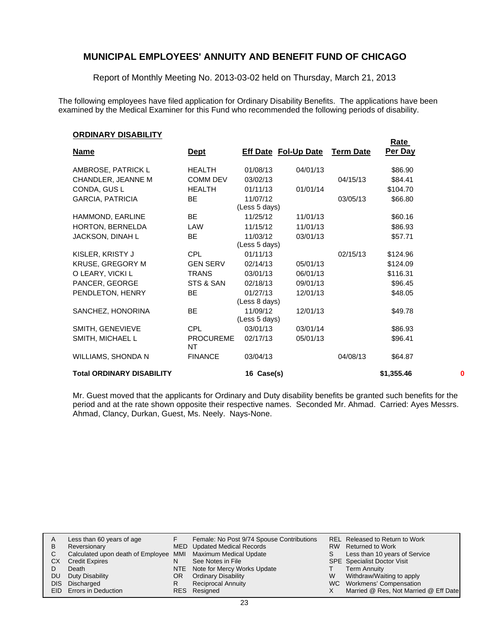Report of Monthly Meeting No. 2013-03-02 held on Thursday, March 21, 2013

The following employees have filed application for Ordinary Disability Benefits. The applications have been examined by the Medical Examiner for this Fund who recommended the following periods of disability.

#### **ORDINARY DISABILITY**

|                                  |                        |               |                             |                  | Rate       |   |
|----------------------------------|------------------------|---------------|-----------------------------|------------------|------------|---|
| <b>Name</b>                      | <b>Dept</b>            |               | <b>Eff Date Fol-Up Date</b> | <b>Term Date</b> | Per Day    |   |
| AMBROSE, PATRICK L               | <b>HEALTH</b>          | 01/08/13      | 04/01/13                    |                  | \$86.90    |   |
| CHANDLER, JEANNE M               | <b>COMM DEV</b>        | 03/02/13      |                             | 04/15/13         | \$84.41    |   |
| CONDA, GUS L                     | <b>HEALTH</b>          | 01/11/13      | 01/01/14                    |                  | \$104.70   |   |
| GARCIA, PATRICIA                 | BE.                    | 11/07/12      |                             | 03/05/13         | \$66.80    |   |
|                                  |                        | (Less 5 days) |                             |                  |            |   |
| HAMMOND, EARLINE                 | BE                     | 11/25/12      | 11/01/13                    |                  | \$60.16    |   |
| HORTON, BERNELDA                 | LAW                    | 11/15/12      | 11/01/13                    |                  | \$86.93    |   |
| JACKSON, DINAH L                 | BE                     | 11/03/12      | 03/01/13                    |                  | \$57.71    |   |
|                                  |                        | (Less 5 days) |                             |                  |            |   |
| KISLER, KRISTY J                 | CPL.                   | 01/11/13      |                             | 02/15/13         | \$124.96   |   |
| <b>KRUSE, GREGORY M</b>          | <b>GEN SERV</b>        | 02/14/13      | 05/01/13                    |                  | \$124.09   |   |
| O LEARY, VICKI L                 | <b>TRANS</b>           | 03/01/13      | 06/01/13                    |                  | \$116.31   |   |
| PANCER, GEORGE                   | STS & SAN              | 02/18/13      | 09/01/13                    |                  | \$96.45    |   |
| PENDLETON, HENRY                 | BE                     | 01/27/13      | 12/01/13                    |                  | \$48.05    |   |
|                                  |                        | (Less 8 days) |                             |                  |            |   |
| SANCHEZ, HONORINA                | BE                     | 11/09/12      | 12/01/13                    |                  | \$49.78    |   |
|                                  |                        | (Less 5 days) |                             |                  |            |   |
| SMITH, GENEVIEVE                 | <b>CPL</b>             | 03/01/13      | 03/01/14                    |                  | \$86.93    |   |
| SMITH, MICHAEL L                 | <b>PROCUREME</b><br>NT | 02/17/13      | 05/01/13                    |                  | \$96.41    |   |
| WILLIAMS, SHONDA N               | <b>FINANCE</b>         | 03/04/13      |                             | 04/08/13         | \$64.87    |   |
| <b>Total ORDINARY DISABILITY</b> |                        | 16 Case(s)    |                             |                  | \$1,355.46 | 0 |

Mr. Guest moved that the applicants for Ordinary and Duty disability benefits be granted such benefits for the period and at the rate shown opposite their respective names. Seconded Mr. Ahmad. Carried: Ayes Messrs. Ahmad, Clancy, Durkan, Guest, Ms. Neely. Nays-None.

|     | Less than 60 years of age                                    |     | Female: No Post 9/74 Spouse Contributions |    | REL Released to Return to Work        |
|-----|--------------------------------------------------------------|-----|-------------------------------------------|----|---------------------------------------|
| B   | Reversionary                                                 |     | MED Updated Medical Records               |    | RW Returned to Work                   |
|     | Calculated upon death of Employee MMI Maximum Medical Update |     |                                           | S. | Less than 10 years of Service         |
| CX  | <b>Credit Expires</b>                                        | N   | See Notes in File                         |    | <b>SPE</b> Specialist Doctor Visit    |
|     | Death                                                        |     | NTE Note for Mercy Works Update           |    | <b>Term Annuity</b>                   |
| DU. | Duty Disability                                              | OR. | <b>Ordinary Disability</b>                | W  | Withdraw/Waiting to apply             |
|     | DIS Discharged                                               | R   | <b>Reciprocal Annuity</b>                 |    | WC Workmens' Compensation             |
|     | EID Errors in Deduction                                      |     | RES Resigned                              |    | Married @ Res, Not Married @ Eff Date |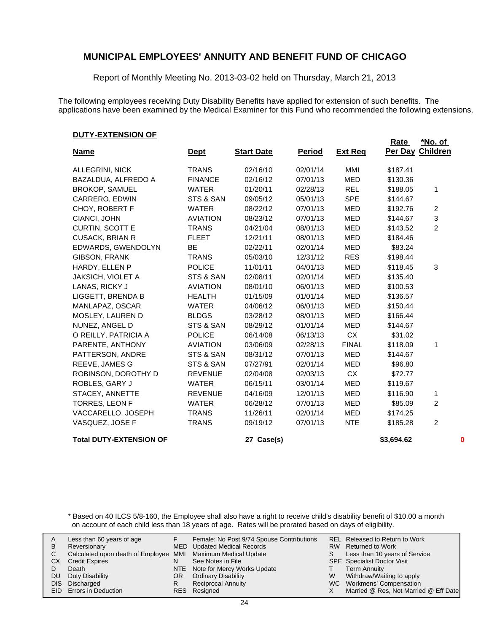Report of Monthly Meeting No. 2013-03-02 held on Thursday, March 21, 2013

The following employees receiving Duty Disability Benefits have applied for extension of such benefits. The applications have been examined by the Medical Examiner for this Fund who recommended the following extensions.

#### **DUTY-EXTENSION OF**

|                                |                 |                   |               |                | <b>Rate</b>      | <u>*No. of</u> |
|--------------------------------|-----------------|-------------------|---------------|----------------|------------------|----------------|
| <b>Name</b>                    | <u>Dept</u>     | <b>Start Date</b> | <b>Period</b> | <b>Ext Req</b> | Per Day Children |                |
| <b>ALLEGRINI, NICK</b>         | <b>TRANS</b>    | 02/16/10          | 02/01/14      | MMI            | \$187.41         |                |
| BAZALDUA, ALFREDO A            | <b>FINANCE</b>  | 02/16/12          | 07/01/13      | <b>MED</b>     | \$130.36         |                |
| <b>BROKOP, SAMUEL</b>          | <b>WATER</b>    | 01/20/11          | 02/28/13      | <b>REL</b>     | \$188.05         | 1              |
| CARRERO, EDWIN                 | STS & SAN       | 09/05/12          | 05/01/13      | <b>SPE</b>     | \$144.67         |                |
| CHOY, ROBERT F                 | <b>WATER</b>    | 08/22/12          | 07/01/13      | <b>MED</b>     | \$192.76         | $\overline{c}$ |
| CIANCI, JOHN                   | <b>AVIATION</b> | 08/23/12          | 07/01/13      | <b>MED</b>     | \$144.67         | 3              |
| CURTIN, SCOTT E                | <b>TRANS</b>    | 04/21/04          | 08/01/13      | MED            | \$143.52         | $\overline{2}$ |
| <b>CUSACK, BRIAN R</b>         | <b>FLEET</b>    | 12/21/11          | 08/01/13      | <b>MED</b>     | \$184.46         |                |
| EDWARDS, GWENDOLYN             | <b>BE</b>       | 02/22/11          | 02/01/14      | <b>MED</b>     | \$83.24          |                |
| GIBSON, FRANK                  | <b>TRANS</b>    | 05/03/10          | 12/31/12      | <b>RES</b>     | \$198.44         |                |
| HARDY, ELLEN P                 | <b>POLICE</b>   | 11/01/11          | 04/01/13      | MED            | \$118.45         | 3              |
| <b>JAKSICH, VIOLET A</b>       | STS & SAN       | 02/08/11          | 02/01/14      | <b>MED</b>     | \$135.40         |                |
| LANAS, RICKY J                 | <b>AVIATION</b> | 08/01/10          | 06/01/13      | <b>MED</b>     | \$100.53         |                |
| LIGGETT, BRENDA B              | <b>HEALTH</b>   | 01/15/09          | 01/01/14      | <b>MED</b>     | \$136.57         |                |
| MANLAPAZ, OSCAR                | <b>WATER</b>    | 04/06/12          | 06/01/13      | MED            | \$150.44         |                |
| MOSLEY, LAUREN D               | <b>BLDGS</b>    | 03/28/12          | 08/01/13      | <b>MED</b>     | \$166.44         |                |
| NUNEZ, ANGEL D                 | STS & SAN       | 08/29/12          | 01/01/14      | <b>MED</b>     | \$144.67         |                |
| O REILLY, PATRICIA A           | <b>POLICE</b>   | 06/14/08          | 06/13/13      | <b>CX</b>      | \$31.02          |                |
| PARENTE, ANTHONY               | <b>AVIATION</b> | 03/06/09          | 02/28/13      | <b>FINAL</b>   | \$118.09         | 1              |
| PATTERSON, ANDRE               | STS & SAN       | 08/31/12          | 07/01/13      | MED            | \$144.67         |                |
| REEVE, JAMES G                 | STS & SAN       | 07/27/91          | 02/01/14      | <b>MED</b>     | \$96.80          |                |
| ROBINSON, DOROTHY D            | <b>REVENUE</b>  | 02/04/08          | 02/03/13      | CX             | \$72.77          |                |
| ROBLES, GARY J                 | <b>WATER</b>    | 06/15/11          | 03/01/14      | <b>MED</b>     | \$119.67         |                |
| STACEY, ANNETTE                | <b>REVENUE</b>  | 04/16/09          | 12/01/13      | <b>MED</b>     | \$116.90         | 1              |
| <b>TORRES, LEON F</b>          | <b>WATER</b>    | 06/28/12          | 07/01/13      | <b>MED</b>     | \$85.09          | $\overline{c}$ |
| VACCARELLO, JOSEPH             | <b>TRANS</b>    | 11/26/11          | 02/01/14      | <b>MED</b>     | \$174.25         |                |
| VASQUEZ, JOSE F                | <b>TRANS</b>    | 09/19/12          | 07/01/13      | <b>NTE</b>     | \$185.28         | $\overline{c}$ |
| <b>Total DUTY-EXTENSION OF</b> |                 | 27 Case(s)        |               |                | \$3,694.62       | 0              |

\* Based on 40 ILCS 5/8-160, the Employee shall also have a right to receive child's disability benefit of \$10.00 a month on account of each child less than 18 years of age. Rates will be prorated based on days of eligibility.

| A<br>В<br>CХ<br>DU | Less than 60 years of age<br>Reversionary<br>Calculated upon death of Employee MMI Maximum Medical Update<br><b>Credit Expires</b><br>Death<br>Duty Disability<br>DIS Discharged<br>EID Errors in Deduction | N<br>OR<br>R | Female: No Post 9/74 Spouse Contributions<br>MED Updated Medical Records<br>See Notes in File<br>NTE Note for Mercy Works Update<br><b>Ordinary Disability</b><br><b>Reciprocal Annuity</b><br>RES Resigned | S.<br>W | REL Released to Return to Work<br>RW Returned to Work<br>Less than 10 years of Service<br><b>SPE</b> Specialist Doctor Visit<br><b>Term Annuity</b><br>Withdraw/Waiting to apply<br>WC Workmens' Compensation<br>Married @ Res, Not Married @ Eff Date |
|--------------------|-------------------------------------------------------------------------------------------------------------------------------------------------------------------------------------------------------------|--------------|-------------------------------------------------------------------------------------------------------------------------------------------------------------------------------------------------------------|---------|--------------------------------------------------------------------------------------------------------------------------------------------------------------------------------------------------------------------------------------------------------|
|--------------------|-------------------------------------------------------------------------------------------------------------------------------------------------------------------------------------------------------------|--------------|-------------------------------------------------------------------------------------------------------------------------------------------------------------------------------------------------------------|---------|--------------------------------------------------------------------------------------------------------------------------------------------------------------------------------------------------------------------------------------------------------|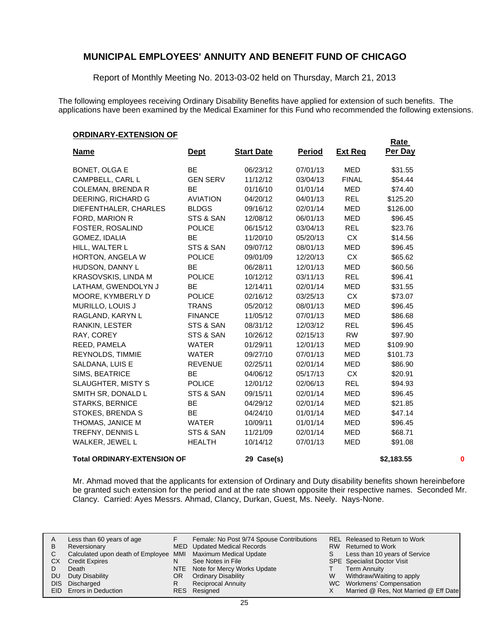Report of Monthly Meeting No. 2013-03-02 held on Thursday, March 21, 2013

The following employees receiving Ordinary Disability Benefits have applied for extension of such benefits. The applications have been examined by the Medical Examiner for this Fund who recommended the following extensions.

#### **ORDINARY-EXTENSION OF**

|                                    |                 |                   |               |                | <b>Rate</b> |   |
|------------------------------------|-----------------|-------------------|---------------|----------------|-------------|---|
| <b>Name</b>                        | <u>Dept</u>     | <b>Start Date</b> | <b>Period</b> | <b>Ext Reg</b> | Per Day     |   |
| <b>BONET, OLGA E</b>               | <b>BE</b>       | 06/23/12          | 07/01/13      | MED            | \$31.55     |   |
| CAMPBELL, CARL L                   | <b>GEN SERV</b> | 11/12/12          | 03/04/13      | <b>FINAL</b>   | \$54.44     |   |
| <b>COLEMAN, BRENDA R</b>           | BE              | 01/16/10          | 01/01/14      | MED            | \$74.40     |   |
| DEERING, RICHARD G                 | <b>AVIATION</b> | 04/20/12          | 04/01/13      | <b>REL</b>     | \$125.20    |   |
| DIEFENTHALER, CHARLES              | <b>BLDGS</b>    | 09/16/12          | 02/01/14      | MED            | \$126.00    |   |
| FORD, MARION R                     | STS & SAN       | 12/08/12          | 06/01/13      | <b>MED</b>     | \$96.45     |   |
| FOSTER, ROSALIND                   | <b>POLICE</b>   | 06/15/12          | 03/04/13      | <b>REL</b>     | \$23.76     |   |
| GOMEZ, IDALIA                      | BE              | 11/20/10          | 05/20/13      | <b>CX</b>      | \$14.56     |   |
| HILL, WALTER L                     | STS & SAN       | 09/07/12          | 08/01/13      | <b>MED</b>     | \$96.45     |   |
| HORTON, ANGELA W                   | <b>POLICE</b>   | 09/01/09          | 12/20/13      | <b>CX</b>      | \$65.62     |   |
| HUDSON, DANNY L                    | <b>BE</b>       | 06/28/11          | 12/01/13      | <b>MED</b>     | \$60.56     |   |
| KRASOVSKIS, LINDA M                | <b>POLICE</b>   | 10/12/12          | 03/11/13      | <b>REL</b>     | \$96.41     |   |
| LATHAM, GWENDOLYN J                | <b>BE</b>       | 12/14/11          | 02/01/14      | <b>MED</b>     | \$31.55     |   |
| MOORE, KYMBERLY D                  | <b>POLICE</b>   | 02/16/12          | 03/25/13      | <b>CX</b>      | \$73.07     |   |
| MURILLO, LOUIS J                   | <b>TRANS</b>    | 05/20/12          | 08/01/13      | <b>MED</b>     | \$96.45     |   |
| RAGLAND, KARYN L                   | <b>FINANCE</b>  | 11/05/12          | 07/01/13      | <b>MED</b>     | \$86.68     |   |
| RANKIN, LESTER                     | STS & SAN       | 08/31/12          | 12/03/12      | <b>REL</b>     | \$96.45     |   |
| RAY, COREY                         | STS & SAN       | 10/26/12          | 02/15/13      | <b>RW</b>      | \$97.90     |   |
| REED, PAMELA                       | <b>WATER</b>    | 01/29/11          | 12/01/13      | MED            | \$109.90    |   |
| REYNOLDS, TIMMIE                   | <b>WATER</b>    | 09/27/10          | 07/01/13      | MED            | \$101.73    |   |
| SALDANA, LUIS E                    | <b>REVENUE</b>  | 02/25/11          | 02/01/14      | MED            | \$86.90     |   |
| SIMS, BEATRICE                     | <b>BE</b>       | 04/06/12          | 05/17/13      | <b>CX</b>      | \$20.91     |   |
| <b>SLAUGHTER, MISTY S</b>          | <b>POLICE</b>   | 12/01/12          | 02/06/13      | <b>REL</b>     | \$94.93     |   |
| SMITH SR, DONALD L                 | STS & SAN       | 09/15/11          | 02/01/14      | <b>MED</b>     | \$96.45     |   |
| <b>STARKS, BERNICE</b>             | <b>BE</b>       | 04/29/12          | 02/01/14      | <b>MED</b>     | \$21.85     |   |
| STOKES, BRENDA S                   | <b>BE</b>       | 04/24/10          | 01/01/14      | MED            | \$47.14     |   |
| THOMAS, JANICE M                   | <b>WATER</b>    | 10/09/11          | 01/01/14      | MED            | \$96.45     |   |
| TREFNY, DENNIS L                   | STS & SAN       | 11/21/09          | 02/01/14      | MED            | \$68.71     |   |
| WALKER, JEWEL L                    | <b>HEALTH</b>   | 10/14/12          | 07/01/13      | <b>MED</b>     | \$91.08     |   |
| <b>Total ORDINARY-EXTENSION OF</b> |                 | 29 Case(s)        |               |                | \$2,183.55  | 0 |

Mr. Ahmad moved that the applicants for extension of Ordinary and Duty disability benefits shown hereinbefore be granted such extension for the period and at the rate shown opposite their respective names. Seconded Mr. Clancy. Carried: Ayes Messrs. Ahmad, Clancy, Durkan, Guest, Ms. Neely. Nays-None.

| A   | Less than 60 years of age                                    |     | Female: No Post 9/74 Spouse Contributions |   | REL Released to Return to Work        |
|-----|--------------------------------------------------------------|-----|-------------------------------------------|---|---------------------------------------|
| B   | Reversionary                                                 |     | MED Updated Medical Records               |   | RW Returned to Work                   |
| C   | Calculated upon death of Employee MMI Maximum Medical Update |     |                                           | S | Less than 10 years of Service         |
| CХ  | <b>Credit Expires</b>                                        | N   | See Notes in File                         |   | <b>SPE</b> Specialist Doctor Visit    |
|     | Death                                                        |     | NTE Note for Mercy Works Update           |   | <b>Term Annuity</b>                   |
| DU. | Duty Disability                                              | OR. | <b>Ordinary Disability</b>                | W | Withdraw/Waiting to apply             |
|     | DIS Discharged                                               |     | <b>Reciprocal Annuity</b>                 |   | WC Workmens' Compensation             |
|     | <b>EID</b> Errors in Deduction                               |     | RES Resigned                              |   | Married @ Res, Not Married @ Eff Date |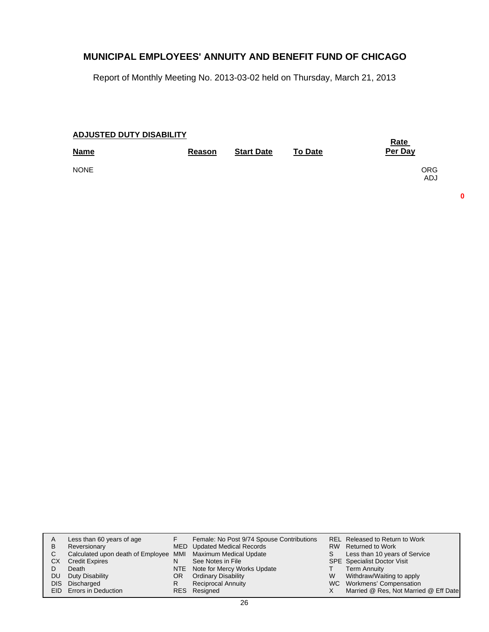Report of Monthly Meeting No. 2013-03-02 held on Thursday, March 21, 2013

| <b>ADJUSTED DUTY DISABILITY</b> | Rate   |                   |                |                          |
|---------------------------------|--------|-------------------|----------------|--------------------------|
| <b>Name</b>                     | Reason | <b>Start Date</b> | <b>To Date</b> | Per Day                  |
| <b>NONE</b>                     |        |                   |                | <b>ORG</b><br><b>ADJ</b> |

**0**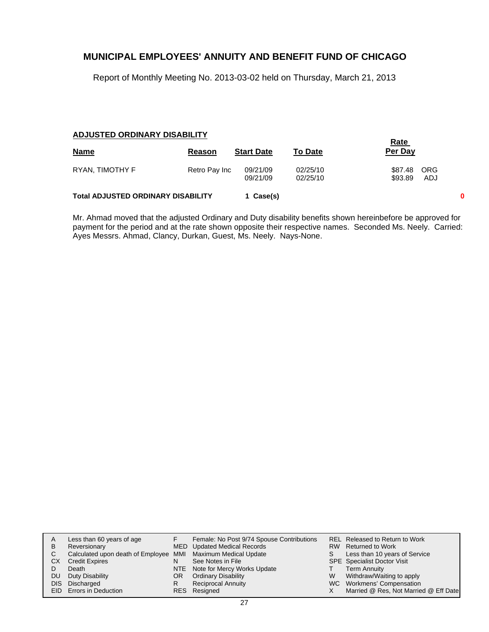Report of Monthly Meeting No. 2013-03-02 held on Thursday, March 21, 2013

#### **ADJUSTED ORDINARY DISABILITY**

|                                           |               |                      |                      | <b>Rate</b>        |            |  |
|-------------------------------------------|---------------|----------------------|----------------------|--------------------|------------|--|
| <b>Name</b>                               | Reason        | <b>Start Date</b>    | <b>To Date</b>       | Per Day            |            |  |
| RYAN, TIMOTHY F                           | Retro Pay Inc | 09/21/09<br>09/21/09 | 02/25/10<br>02/25/10 | \$87.48<br>\$93.89 | ORG<br>ADJ |  |
| <b>Total ADJUSTED ORDINARY DISABILITY</b> | 1 Case(s)     |                      |                      |                    | 0          |  |

Mr. Ahmad moved that the adjusted Ordinary and Duty disability benefits shown hereinbefore be approved for payment for the period and at the rate shown opposite their respective names. Seconded Ms. Neely. Carried: Ayes Messrs. Ahmad, Clancy, Durkan, Guest, Ms. Neely. Nays-None.

| A   | Less than 60 years of age                                    |    | Female: No Post 9/74 Spouse Contributions |   | REL Released to Return to Work        |
|-----|--------------------------------------------------------------|----|-------------------------------------------|---|---------------------------------------|
| B   | Reversionary                                                 |    | MED Updated Medical Records               |   | RW Returned to Work                   |
|     | Calculated upon death of Employee MMI Maximum Medical Update |    |                                           | S | Less than 10 years of Service         |
| CХ  | <b>Credit Expires</b>                                        | N  | See Notes in File                         |   | <b>SPE</b> Specialist Doctor Visit    |
|     | Death                                                        |    | NTE Note for Mercy Works Update           |   | <b>Term Annuity</b>                   |
| DU. | Duty Disability                                              | OR | <b>Ordinary Disability</b>                | W | Withdraw/Waiting to apply             |
|     | DIS Discharged                                               | R  | <b>Reciprocal Annuity</b>                 |   | WC Workmens' Compensation             |
|     | <b>EID</b> Errors in Deduction                               |    | RES Resigned                              |   | Married @ Res, Not Married @ Eff Date |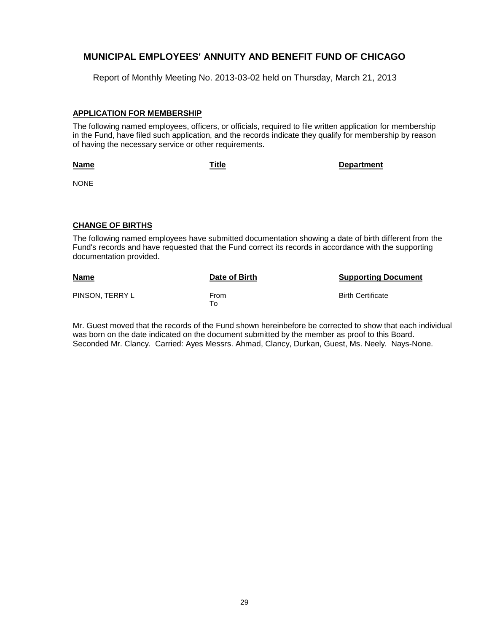Report of Monthly Meeting No. 2013-03-02 held on Thursday, March 21, 2013

#### **APPLICATION FOR MEMBERSHIP**

The following named employees, officers, or officials, required to file written application for membership in the Fund, have filed such application, and the records indicate they qualify for membership by reason of having the necessary service or other requirements.

**Name**

**Title Department**

NONE

#### **CHANGE OF BIRTHS**

The following named employees have submitted documentation showing a date of birth different from the Fund's records and have requested that the Fund correct its records in accordance with the supporting documentation provided.

| <b>Name</b>     | Date of Birth | <b>Supporting Document</b> |
|-----------------|---------------|----------------------------|
| PINSON. TERRY L | From<br>To To | <b>Birth Certificate</b>   |

Mr. Guest moved that the records of the Fund shown hereinbefore be corrected to show that each individual was born on the date indicated on the document submitted by the member as proof to this Board. Seconded Mr. Clancy. Carried: Ayes Messrs. Ahmad, Clancy, Durkan, Guest, Ms. Neely. Nays-None.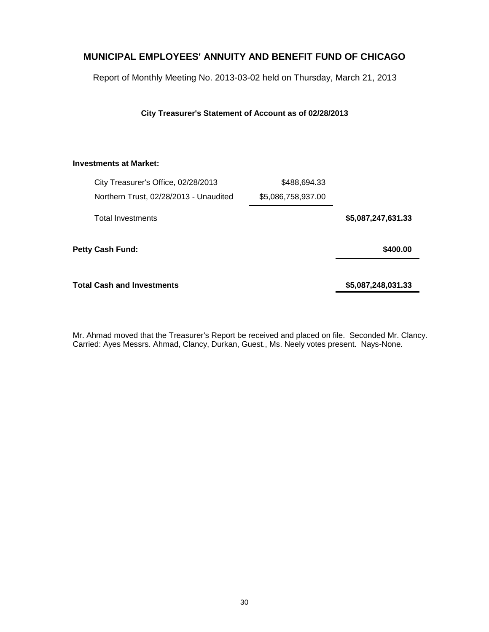Report of Monthly Meeting No. 2013-03-02 held on Thursday, March 21, 2013

**City Treasurer's Statement of Account as of 02/28/2013**

# **Investments at Market:**

|                    | \$488,694.33       | City Treasurer's Office, 02/28/2013    |  |
|--------------------|--------------------|----------------------------------------|--|
|                    | \$5,086,758,937.00 | Northern Trust, 02/28/2013 - Unaudited |  |
| \$5,087,247,631.33 |                    | <b>Total Investments</b>               |  |
| \$400.00           |                    | Petty Cash Fund:                       |  |
| \$5,087,248,031.33 |                    | Total Cash and Investments             |  |

Mr. Ahmad moved that the Treasurer's Report be received and placed on file. Seconded Mr. Clancy. Carried: Ayes Messrs. Ahmad, Clancy, Durkan, Guest., Ms. Neely votes present. Nays-None.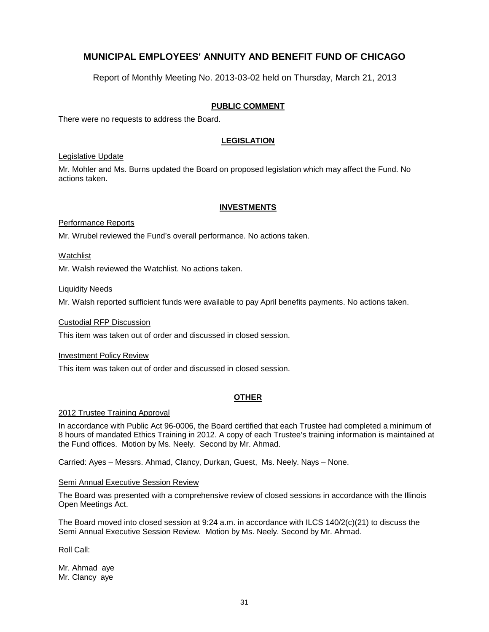Report of Monthly Meeting No. 2013-03-02 held on Thursday, March 21, 2013

# **PUBLIC COMMENT**

There were no requests to address the Board.

# **LEGISLATION**

#### Legislative Update

Mr. Mohler and Ms. Burns updated the Board on proposed legislation which may affect the Fund. No actions taken.

#### **INVESTMENTS**

#### Performance Reports

Mr. Wrubel reviewed the Fund's overall performance. No actions taken.

#### Watchlist

Mr. Walsh reviewed the Watchlist. No actions taken.

#### **Liquidity Needs**

Mr. Walsh reported sufficient funds were available to pay April benefits payments. No actions taken.

#### Custodial RFP Discussion

This item was taken out of order and discussed in closed session.

#### Investment Policy Review

This item was taken out of order and discussed in closed session.

# **OTHER**

#### 2012 Trustee Training Approval

In accordance with Public Act 96-0006, the Board certified that each Trustee had completed a minimum of 8 hours of mandated Ethics Training in 2012. A copy of each Trustee's training information is maintained at the Fund offices. Motion by Ms. Neely. Second by Mr. Ahmad.

Carried: Ayes – Messrs. Ahmad, Clancy, Durkan, Guest, Ms. Neely. Nays – None.

#### Semi Annual Executive Session Review

The Board was presented with a comprehensive review of closed sessions in accordance with the Illinois Open Meetings Act.

The Board moved into closed session at 9:24 a.m. in accordance with ILCS 140/2(c)(21) to discuss the Semi Annual Executive Session Review. Motion by Ms. Neely. Second by Mr. Ahmad.

Roll Call:

Mr. Ahmad aye Mr. Clancy aye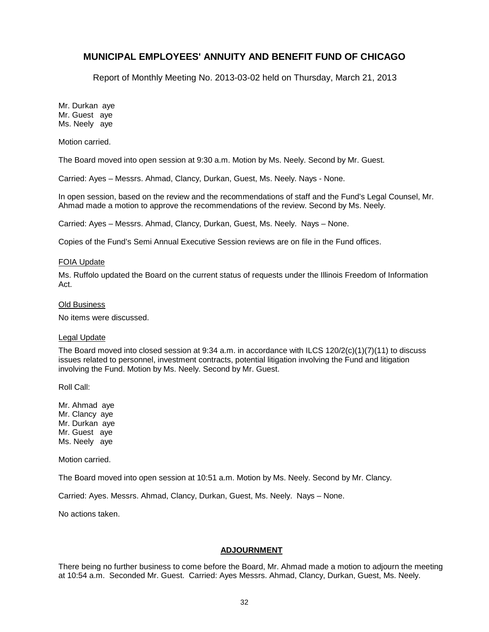Report of Monthly Meeting No. 2013-03-02 held on Thursday, March 21, 2013

Mr. Durkan aye Mr. Guest aye Ms. Neely aye

Motion carried.

The Board moved into open session at 9:30 a.m. Motion by Ms. Neely. Second by Mr. Guest.

Carried: Ayes – Messrs. Ahmad, Clancy, Durkan, Guest, Ms. Neely. Nays - None.

In open session, based on the review and the recommendations of staff and the Fund's Legal Counsel, Mr. Ahmad made a motion to approve the recommendations of the review. Second by Ms. Neely.

Carried: Ayes – Messrs. Ahmad, Clancy, Durkan, Guest, Ms. Neely. Nays – None.

Copies of the Fund's Semi Annual Executive Session reviews are on file in the Fund offices.

#### FOIA Update

Ms. Ruffolo updated the Board on the current status of requests under the Illinois Freedom of Information Act.

#### Old Business

No items were discussed.

#### Legal Update

The Board moved into closed session at 9:34 a.m. in accordance with ILCS  $120/2(c)(1)(7)(11)$  to discuss issues related to personnel, investment contracts, potential litigation involving the Fund and litigation involving the Fund. Motion by Ms. Neely. Second by Mr. Guest.

Roll Call:

Mr. Ahmad aye Mr. Clancy aye Mr. Durkan aye Mr. Guest aye Ms. Neely aye

Motion carried.

The Board moved into open session at 10:51 a.m. Motion by Ms. Neely. Second by Mr. Clancy.

Carried: Ayes. Messrs. Ahmad, Clancy, Durkan, Guest, Ms. Neely. Nays – None.

No actions taken.

## **ADJOURNMENT**

There being no further business to come before the Board, Mr. Ahmad made a motion to adjourn the meeting at 10:54 a.m. Seconded Mr. Guest. Carried: Ayes Messrs. Ahmad, Clancy, Durkan, Guest, Ms. Neely.